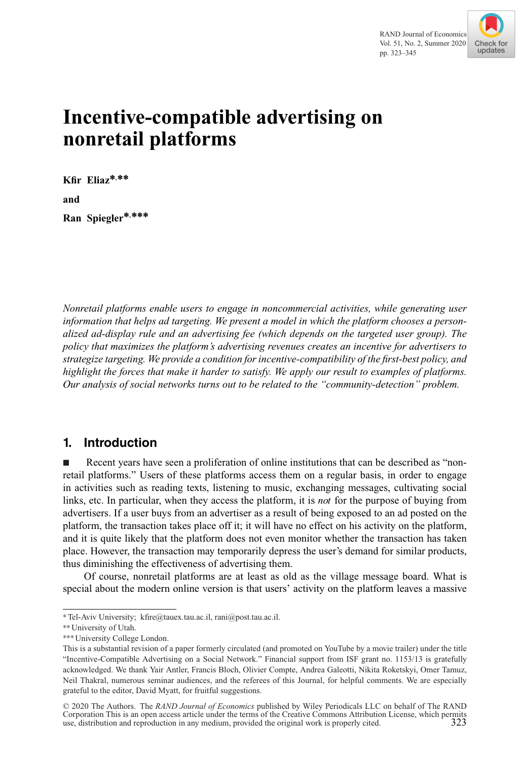

# **Incentive-compatible advertising on nonretail platforms**

**Kfir Eliaz∗,∗∗ and Ran Spiegler∗,∗∗∗**

*Nonretail platforms enable users to engage in noncommercial activities, while generating user information that helps ad targeting. We present a model in which the platform chooses a personalized ad-display rule and an advertising fee (which depends on the targeted user group). The policy that maximizes the platform's advertising revenues creates an incentive for advertisers to strategize targeting. We provide a condition for incentive-compatibility of the first-best policy, and highlight the forces that make it harder to satisfy. We apply our result to examples of platforms. Our analysis of social networks turns out to be related to the "community-detection" problem.*

# **1. Introduction**

- Recent years have seen a proliferation of online institutions that can be described as "nonretail platforms." Users of these platforms access them on a regular basis, in order to engage in activities such as reading texts, listening to music, exchanging messages, cultivating social links, etc. In particular, when they access the platform, it is *not* for the purpose of buying from advertisers. If a user buys from an advertiser as a result of being exposed to an ad posted on the platform, the transaction takes place off it; it will have no effect on his activity on the platform, and it is quite likely that the platform does not even monitor whether the transaction has taken place. However, the transaction may temporarily depress the user's demand for similar products, thus diminishing the effectiveness of advertising them.

Of course, nonretail platforms are at least as old as the village message board. What is special about the modern online version is that users' activity on the platform leaves a massive

<sup>∗</sup>Tel-Aviv University; kfire@tauex.tau.ac.il, rani@post.tau.ac.il.

<sup>∗∗</sup>University of Utah.

<sup>∗∗∗</sup>University College London.

This is a substantial revision of a paper formerly circulated (and promoted on YouTube by a movie trailer) under the title "Incentive-Compatible Advertising on a Social Network." Financial support from ISF grant no. 1153/13 is gratefully acknowledged. We thank Yair Antler, Francis Bloch, Olivier Compte, Andrea Galeotti, Nikita Roketskyi, Omer Tamuz, Neil Thakral, numerous seminar audiences, and the referees of this Journal, for helpful comments. We are especially grateful to the editor, David Myatt, for fruitful suggestions.

<sup>© 2020</sup> The Authors. The *RAND Journal of Economics* published by Wiley Periodicals LLC on behalf of The RAND Corporation This is an open access article under the terms of the [Creative Commons Attribution](http://creativecommons.org/licenses/by/4.0/) License, which permits use, distribution and reproduction in any medium, provided the original work is properly cited. 323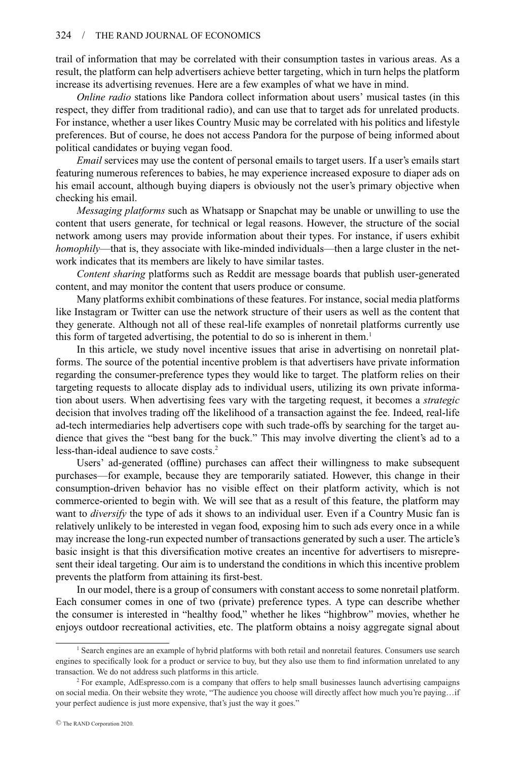trail of information that may be correlated with their consumption tastes in various areas. As a result, the platform can help advertisers achieve better targeting, which in turn helps the platform increase its advertising revenues. Here are a few examples of what we have in mind.

*Online radio* stations like Pandora collect information about users' musical tastes (in this respect, they differ from traditional radio), and can use that to target ads for unrelated products. For instance, whether a user likes Country Music may be correlated with his politics and lifestyle preferences. But of course, he does not access Pandora for the purpose of being informed about political candidates or buying vegan food.

*Email* services may use the content of personal emails to target users. If a user's emails start featuring numerous references to babies, he may experience increased exposure to diaper ads on his email account, although buying diapers is obviously not the user's primary objective when checking his email.

*Messaging platforms* such as Whatsapp or Snapchat may be unable or unwilling to use the content that users generate, for technical or legal reasons. However, the structure of the social network among users may provide information about their types. For instance, if users exhibit *homophily*—that is, they associate with like-minded individuals—then a large cluster in the network indicates that its members are likely to have similar tastes.

*Content sharing* platforms such as Reddit are message boards that publish user-generated content, and may monitor the content that users produce or consume.

Many platforms exhibit combinations of these features. For instance, social media platforms like Instagram or Twitter can use the network structure of their users as well as the content that they generate. Although not all of these real-life examples of nonretail platforms currently use this form of targeted advertising, the potential to do so is inherent in them.<sup>1</sup>

In this article, we study novel incentive issues that arise in advertising on nonretail platforms. The source of the potential incentive problem is that advertisers have private information regarding the consumer-preference types they would like to target. The platform relies on their targeting requests to allocate display ads to individual users, utilizing its own private information about users. When advertising fees vary with the targeting request, it becomes a *strategic* decision that involves trading off the likelihood of a transaction against the fee. Indeed, real-life ad-tech intermediaries help advertisers cope with such trade-offs by searching for the target audience that gives the "best bang for the buck." This may involve diverting the client's ad to a less-than-ideal audience to save costs.<sup>2</sup>

Users' ad-generated (offline) purchases can affect their willingness to make subsequent purchases—for example, because they are temporarily satiated. However, this change in their consumption-driven behavior has no visible effect on their platform activity, which is not commerce-oriented to begin with. We will see that as a result of this feature, the platform may want to *diversify* the type of ads it shows to an individual user. Even if a Country Music fan is relatively unlikely to be interested in vegan food, exposing him to such ads every once in a while may increase the long-run expected number of transactions generated by such a user. The article's basic insight is that this diversification motive creates an incentive for advertisers to misrepresent their ideal targeting. Our aim is to understand the conditions in which this incentive problem prevents the platform from attaining its first-best.

In our model, there is a group of consumers with constant access to some nonretail platform. Each consumer comes in one of two (private) preference types. A type can describe whether the consumer is interested in "healthy food," whether he likes "highbrow" movies, whether he enjoys outdoor recreational activities, etc. The platform obtains a noisy aggregate signal about

<sup>1</sup> Search engines are an example of hybrid platforms with both retail and nonretail features. Consumers use search engines to specifically look for a product or service to buy, but they also use them to find information unrelated to any transaction. We do not address such platforms in this article.

<sup>&</sup>lt;sup>2</sup> For example, AdEspresso.com is a company that offers to help small businesses launch advertising campaigns on social media. On their website they wrote, "The audience you choose will directly affect how much you're paying…if your perfect audience is just more expensive, that's just the way it goes."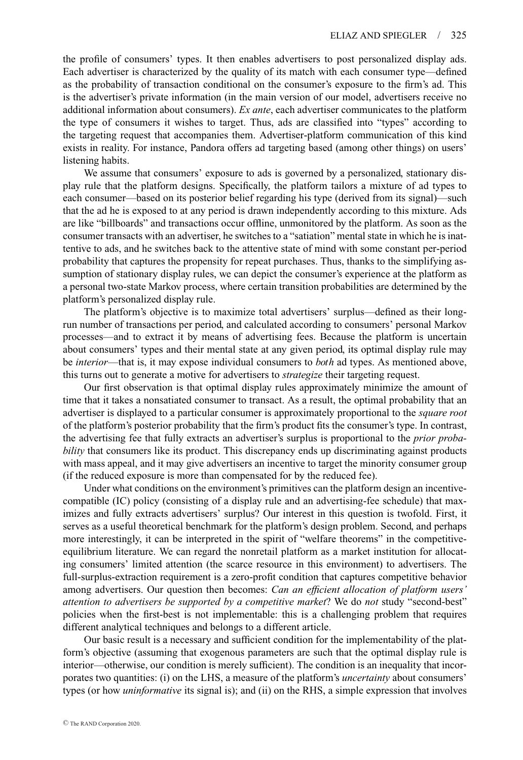the profile of consumers' types. It then enables advertisers to post personalized display ads. Each advertiser is characterized by the quality of its match with each consumer type—defined as the probability of transaction conditional on the consumer's exposure to the firm's ad. This is the advertiser's private information (in the main version of our model, advertisers receive no additional information about consumers). *Ex ante*, each advertiser communicates to the platform the type of consumers it wishes to target. Thus, ads are classified into "types" according to the targeting request that accompanies them. Advertiser-platform communication of this kind exists in reality. For instance, Pandora offers ad targeting based (among other things) on users' listening habits.

We assume that consumers' exposure to ads is governed by a personalized, stationary display rule that the platform designs. Specifically, the platform tailors a mixture of ad types to each consumer—based on its posterior belief regarding his type (derived from its signal)—such that the ad he is exposed to at any period is drawn independently according to this mixture. Ads are like "billboards" and transactions occur offline, unmonitored by the platform. As soon as the consumer transacts with an advertiser, he switches to a "satiation" mental state in which he is inattentive to ads, and he switches back to the attentive state of mind with some constant per-period probability that captures the propensity for repeat purchases. Thus, thanks to the simplifying assumption of stationary display rules, we can depict the consumer's experience at the platform as a personal two-state Markov process, where certain transition probabilities are determined by the platform's personalized display rule.

The platform's objective is to maximize total advertisers' surplus—defined as their longrun number of transactions per period, and calculated according to consumers' personal Markov processes—and to extract it by means of advertising fees. Because the platform is uncertain about consumers' types and their mental state at any given period, its optimal display rule may be *interior*—that is, it may expose individual consumers to *both* ad types. As mentioned above, this turns out to generate a motive for advertisers to *strategize* their targeting request.

Our first observation is that optimal display rules approximately minimize the amount of time that it takes a nonsatiated consumer to transact. As a result, the optimal probability that an advertiser is displayed to a particular consumer is approximately proportional to the *square root* of the platform's posterior probability that the firm's product fits the consumer's type. In contrast, the advertising fee that fully extracts an advertiser's surplus is proportional to the *prior probability* that consumers like its product. This discrepancy ends up discriminating against products with mass appeal, and it may give advertisers an incentive to target the minority consumer group (if the reduced exposure is more than compensated for by the reduced fee).

Under what conditions on the environment's primitives can the platform design an incentivecompatible (IC) policy (consisting of a display rule and an advertising-fee schedule) that maximizes and fully extracts advertisers' surplus? Our interest in this question is twofold. First, it serves as a useful theoretical benchmark for the platform's design problem. Second, and perhaps more interestingly, it can be interpreted in the spirit of "welfare theorems" in the competitiveequilibrium literature. We can regard the nonretail platform as a market institution for allocating consumers' limited attention (the scarce resource in this environment) to advertisers. The full-surplus-extraction requirement is a zero-profit condition that captures competitive behavior among advertisers. Our question then becomes: *Can an efficient allocation of platform users' attention to advertisers be supported by a competitive market*? We do *not* study "second-best" policies when the first-best is not implementable: this is a challenging problem that requires different analytical techniques and belongs to a different article.

Our basic result is a necessary and sufficient condition for the implementability of the platform's objective (assuming that exogenous parameters are such that the optimal display rule is interior—otherwise, our condition is merely sufficient). The condition is an inequality that incorporates two quantities: (i) on the LHS, a measure of the platform's *uncertainty* about consumers' types (or how *uninformative* its signal is); and (ii) on the RHS, a simple expression that involves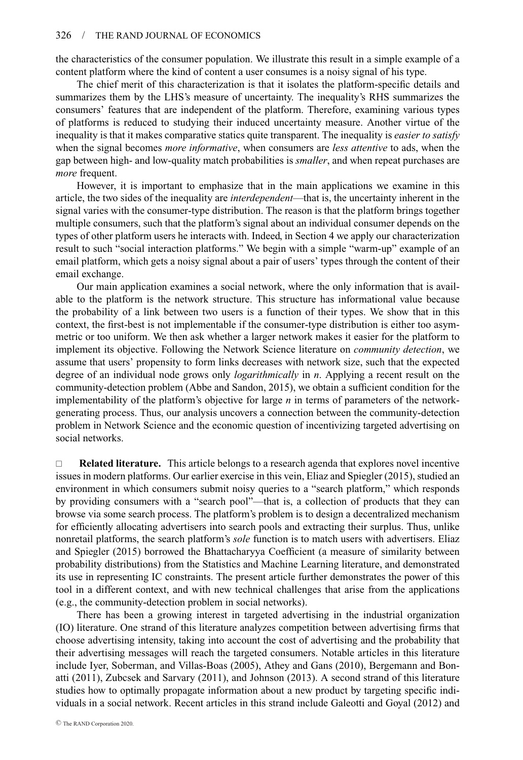the characteristics of the consumer population. We illustrate this result in a simple example of a content platform where the kind of content a user consumes is a noisy signal of his type.

The chief merit of this characterization is that it isolates the platform-specific details and summarizes them by the LHS's measure of uncertainty. The inequality's RHS summarizes the consumers' features that are independent of the platform. Therefore, examining various types of platforms is reduced to studying their induced uncertainty measure. Another virtue of the inequality is that it makes comparative statics quite transparent. The inequality is *easier to satisfy* when the signal becomes *more informative*, when consumers are *less attentive* to ads, when the gap between high- and low-quality match probabilities is *smaller*, and when repeat purchases are *more* frequent.

However, it is important to emphasize that in the main applications we examine in this article, the two sides of the inequality are *interdependent*—that is, the uncertainty inherent in the signal varies with the consumer-type distribution. The reason is that the platform brings together multiple consumers, such that the platform's signal about an individual consumer depends on the types of other platform users he interacts with. Indeed, in Section 4 we apply our characterization result to such "social interaction platforms." We begin with a simple "warm-up" example of an email platform, which gets a noisy signal about a pair of users' types through the content of their email exchange.

Our main application examines a social network, where the only information that is available to the platform is the network structure. This structure has informational value because the probability of a link between two users is a function of their types. We show that in this context, the first-best is not implementable if the consumer-type distribution is either too asymmetric or too uniform. We then ask whether a larger network makes it easier for the platform to implement its objective. Following the Network Science literature on *community detection*, we assume that users' propensity to form links decreases with network size, such that the expected degree of an individual node grows only *logarithmically* in *n*. Applying a recent result on the community-detection problem (Abbe and Sandon, 2015), we obtain a sufficient condition for the implementability of the platform's objective for large *n* in terms of parameters of the networkgenerating process. Thus, our analysis uncovers a connection between the community-detection problem in Network Science and the economic question of incentivizing targeted advertising on social networks.

□ **Related literature.** This article belongs to a research agenda that explores novel incentive issues in modern platforms. Our earlier exercise in this vein, Eliaz and Spiegler (2015), studied an environment in which consumers submit noisy queries to a "search platform," which responds by providing consumers with a "search pool"—that is, a collection of products that they can browse via some search process. The platform's problem is to design a decentralized mechanism for efficiently allocating advertisers into search pools and extracting their surplus. Thus, unlike nonretail platforms, the search platform's *sole* function is to match users with advertisers. Eliaz and Spiegler (2015) borrowed the Bhattacharyya Coefficient (a measure of similarity between probability distributions) from the Statistics and Machine Learning literature, and demonstrated its use in representing IC constraints. The present article further demonstrates the power of this tool in a different context, and with new technical challenges that arise from the applications (e.g., the community-detection problem in social networks).

There has been a growing interest in targeted advertising in the industrial organization (IO) literature. One strand of this literature analyzes competition between advertising firms that choose advertising intensity, taking into account the cost of advertising and the probability that their advertising messages will reach the targeted consumers. Notable articles in this literature include Iyer, Soberman, and Villas-Boas (2005), Athey and Gans (2010), Bergemann and Bonatti (2011), Zubcsek and Sarvary (2011), and Johnson (2013). A second strand of this literature studies how to optimally propagate information about a new product by targeting specific individuals in a social network. Recent articles in this strand include Galeotti and Goyal (2012) and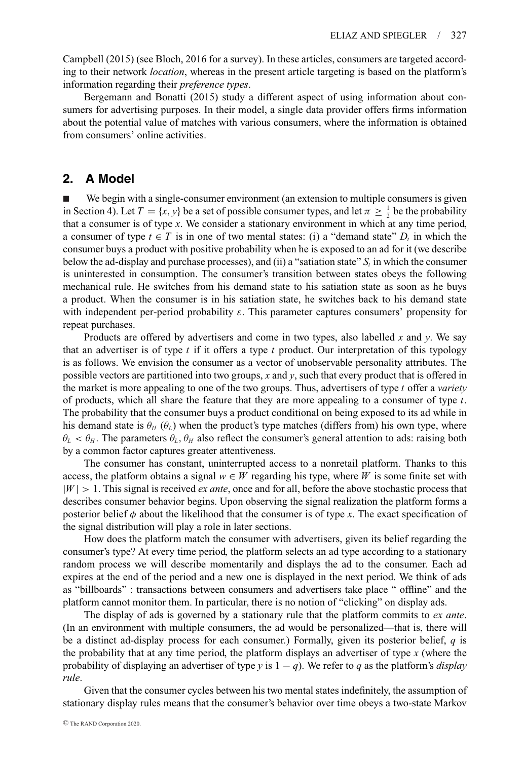Campbell (2015) (see Bloch, 2016 for a survey). In these articles, consumers are targeted according to their network *location*, whereas in the present article targeting is based on the platform's information regarding their *preference types*.

Bergemann and Bonatti (2015) study a different aspect of using information about consumers for advertising purposes. In their model, a single data provider offers firms information about the potential value of matches with various consumers, where the information is obtained from consumers' online activities.

# **2. A Model**

- We begin with a single-consumer environment (an extension to multiple consumers is given in Section 4). Let  $T = \{x, y\}$  be a set of possible consumer types, and let  $\pi \geq \frac{1}{2}$  be the probability that a consumer is of type *x*. We consider a stationary environment in which at any time period, a consumer of type  $t \in T$  is in one of two mental states: (i) a "demand state"  $D<sub>t</sub>$  in which the consumer buys a product with positive probability when he is exposed to an ad for it (we describe below the ad-display and purchase processes), and (ii) a "satiation state"  $S_t$  in which the consumer is uninterested in consumption. The consumer's transition between states obeys the following mechanical rule. He switches from his demand state to his satiation state as soon as he buys a product. When the consumer is in his satiation state, he switches back to his demand state with independent per-period probability  $\varepsilon$ . This parameter captures consumers' propensity for repeat purchases.

Products are offered by advertisers and come in two types, also labelled *x* and *y*. We say that an advertiser is of type *t* if it offers a type *t* product. Our interpretation of this typology is as follows. We envision the consumer as a vector of unobservable personality attributes. The possible vectors are partitioned into two groups, *x* and *y*, such that every product that is offered in the market is more appealing to one of the two groups. Thus, advertisers of type *t* offer a *variety* of products, which all share the feature that they are more appealing to a consumer of type *t*. The probability that the consumer buys a product conditional on being exposed to its ad while in his demand state is  $\theta_H$  ( $\theta_L$ ) when the product's type matches (differs from) his own type, where  $\theta_L < \theta_H$ . The parameters  $\theta_L$ ,  $\theta_H$  also reflect the consumer's general attention to ads: raising both by a common factor captures greater attentiveness.

The consumer has constant, uninterrupted access to a nonretail platform. Thanks to this access, the platform obtains a signal  $w \in W$  regarding his type, where *W* is some finite set with  $|W| > 1$ . This signal is received *ex ante*, once and for all, before the above stochastic process that describes consumer behavior begins. Upon observing the signal realization the platform forms a posterior belief  $\phi$  about the likelihood that the consumer is of type *x*. The exact specification of the signal distribution will play a role in later sections.

How does the platform match the consumer with advertisers, given its belief regarding the consumer's type? At every time period, the platform selects an ad type according to a stationary random process we will describe momentarily and displays the ad to the consumer. Each ad expires at the end of the period and a new one is displayed in the next period. We think of ads as "billboards" : transactions between consumers and advertisers take place " offline" and the platform cannot monitor them. In particular, there is no notion of "clicking" on display ads.

The display of ads is governed by a stationary rule that the platform commits to *ex ante*. (In an environment with multiple consumers, the ad would be personalized—that is, there will be a distinct ad-display process for each consumer.) Formally, given its posterior belief, *q* is the probability that at any time period, the platform displays an advertiser of type *x* (where the probability of displaying an advertiser of type *y* is  $1 - q$ ). We refer to *q* as the platform's *display rule*.

Given that the consumer cycles between his two mental states indefinitely, the assumption of stationary display rules means that the consumer's behavior over time obeys a two-state Markov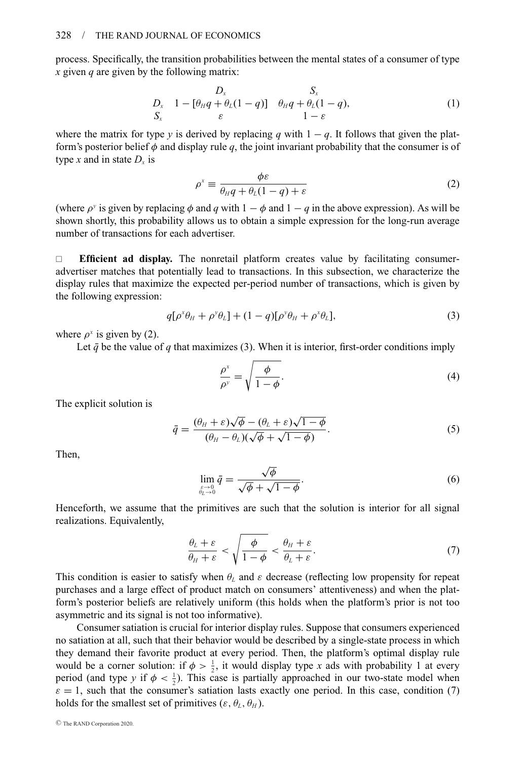process. Specifically, the transition probabilities between the mental states of a consumer of type *x* given *q* are given by the following matrix:

$$
D_x \t 1 - [\theta_H q + \theta_L (1 - q)] \t \theta_H q + \theta_L (1 - q),
$$
  
\n
$$
S_x \t 1 - \varepsilon
$$
 (1)

where the matrix for type *y* is derived by replacing *q* with  $1 - q$ . It follows that given the platform's posterior belief  $\phi$  and display rule q, the joint invariant probability that the consumer is of type *x* and in state  $D_x$  is

$$
\rho^x \equiv \frac{\phi \varepsilon}{\theta_H q + \theta_L (1 - q) + \varepsilon} \tag{2}
$$

(where  $\rho^y$  is given by replacing  $\phi$  and  $q$  with  $1 - \phi$  and  $1 - q$  in the above expression). As will be shown shortly, this probability allows us to obtain a simple expression for the long-run average number of transactions for each advertiser.

 **Efficient ad display.** The nonretail platform creates value by facilitating consumeradvertiser matches that potentially lead to transactions. In this subsection, we characterize the display rules that maximize the expected per-period number of transactions, which is given by the following expression:

$$
q[\rho^x\theta_H + \rho^y\theta_L] + (1-q)[\rho^y\theta_H + \rho^x\theta_L],
$$
\n(3)

where  $\rho^x$  is given by (2).

Let  $\bar{q}$  be the value of  $q$  that maximizes (3). When it is interior, first-order conditions imply

$$
\frac{\rho^x}{\rho^y} = \sqrt{\frac{\phi}{1 - \phi}}.\tag{4}
$$

The explicit solution is

$$
\bar{q} = \frac{(\theta_H + \varepsilon)\sqrt{\phi} - (\theta_L + \varepsilon)\sqrt{1 - \phi}}{(\theta_H - \theta_L)(\sqrt{\phi} + \sqrt{1 - \phi})}.
$$
\n(5)

Then,

$$
\lim_{\substack{\varepsilon \to 0 \\ \theta_L \to 0}} \bar{q} = \frac{\sqrt{\phi}}{\sqrt{\phi} + \sqrt{1 - \phi}}.
$$
\n(6)

Henceforth, we assume that the primitives are such that the solution is interior for all signal realizations. Equivalently,

$$
\frac{\theta_L + \varepsilon}{\theta_H + \varepsilon} < \sqrt{\frac{\phi}{1 - \phi}} < \frac{\theta_H + \varepsilon}{\theta_L + \varepsilon}.\tag{7}
$$

This condition is easier to satisfy when  $\theta_L$  and  $\varepsilon$  decrease (reflecting low propensity for repeat purchases and a large effect of product match on consumers' attentiveness) and when the platform's posterior beliefs are relatively uniform (this holds when the platform's prior is not too asymmetric and its signal is not too informative).

Consumer satiation is crucial for interior display rules. Suppose that consumers experienced no satiation at all, such that their behavior would be described by a single-state process in which they demand their favorite product at every period. Then, the platform's optimal display rule would be a corner solution: if  $\phi > \frac{1}{2}$ , it would display type *x* ads with probability 1 at every period (and type *y* if  $\phi < \frac{1}{2}$ ). This case is partially approached in our two-state model when  $\varepsilon = 1$ , such that the consumer's satiation lasts exactly one period. In this case, condition (7) holds for the smallest set of primitives ( $\varepsilon$ ,  $\theta_L$ ,  $\theta_H$ ).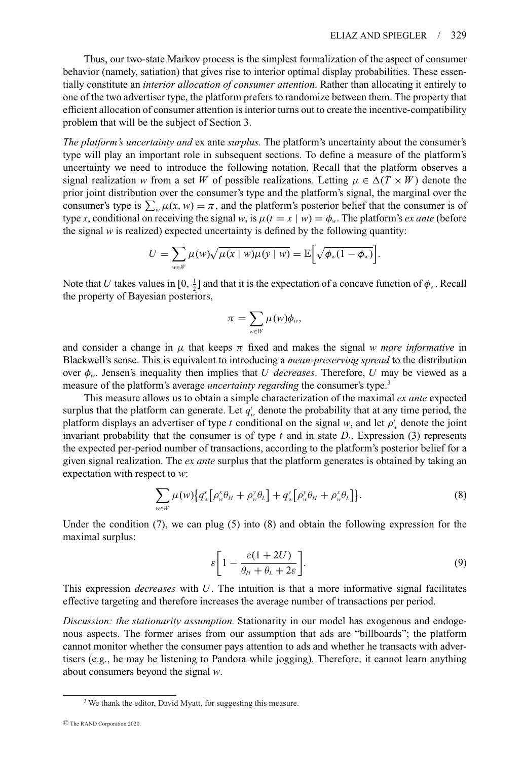Thus, our two-state Markov process is the simplest formalization of the aspect of consumer behavior (namely, satiation) that gives rise to interior optimal display probabilities. These essentially constitute an *interior allocation of consumer attention*. Rather than allocating it entirely to one of the two advertiser type, the platform prefers to randomize between them. The property that efficient allocation of consumer attention is interior turns out to create the incentive-compatibility problem that will be the subject of Section 3.

*The platform's uncertainty and* ex ante *surplus.* The platform's uncertainty about the consumer's type will play an important role in subsequent sections. To define a measure of the platform's uncertainty we need to introduce the following notation. Recall that the platform observes a signal realization *w* from a set *W* of possible realizations. Letting  $\mu \in \Delta(T \times W)$  denote the prior joint distribution over the consumer's type and the platform's signal, the marginal over the consumer's type is  $\sum_{w} \mu(x, w) = \pi$ , and the platform's posterior belief that the consumer is of type *x*, conditional on receiving the signal *w*, is  $\mu(t = x \mid w) = \phi_w$ . The platform's *ex ante* (before the signal  $w$  is realized) expected uncertainty is defined by the following quantity:

$$
U = \sum_{w \in W} \mu(w) \sqrt{\mu(x \mid w) \mu(y \mid w)} = \mathbb{E} \left[ \sqrt{\phi_w(1 - \phi_w)} \right].
$$

Note that *U* takes values in  $[0, \frac{1}{2}]$  and that it is the expectation of a concave function of  $\phi_w$ . Recall the property of Bayesian posteriors,

$$
\pi = \sum_{w \in W} \mu(w) \phi_w,
$$

and consider a change in  $\mu$  that keeps  $\pi$  fixed and makes the signal *w more informative* in Blackwell's sense. This is equivalent to introducing a *mean-preserving spread* to the distribution over  $\phi_w$ . Jensen's inequality then implies that *U decreases*. Therefore, *U* may be viewed as a measure of the platform's average *uncertainty regarding* the consumer's type.3

This measure allows us to obtain a simple characterization of the maximal *ex ante* expected surplus that the platform can generate. Let  $q_w^t$  denote the probability that at any time period, the platform displays an advertiser of type *t* conditional on the signal *w*, and let  $\rho_w^t$  denote the joint invariant probability that the consumer is of type  $t$  and in state  $D_t$ . Expression (3) represents the expected per-period number of transactions, according to the platform's posterior belief for a given signal realization. The *ex ante* surplus that the platform generates is obtained by taking an expectation with respect to *w*:

$$
\sum_{w \in W} \mu(w) \big\{ q_w^x \big[ \rho_w^x \theta_H + \rho_w^y \theta_L \big] + q_w^y \big[ \rho_w^y \theta_H + \rho_w^x \theta_L \big] \big\}.
$$
 (8)

Under the condition  $(7)$ , we can plug  $(5)$  into  $(8)$  and obtain the following expression for the maximal surplus:

$$
\varepsilon \left[ 1 - \frac{\varepsilon (1 + 2U)}{\theta_H + \theta_L + 2\varepsilon} \right].
$$
\n(9)

This expression *decreases* with *U*. The intuition is that a more informative signal facilitates effective targeting and therefore increases the average number of transactions per period.

*Discussion: the stationarity assumption.* Stationarity in our model has exogenous and endogenous aspects. The former arises from our assumption that ads are "billboards"; the platform cannot monitor whether the consumer pays attention to ads and whether he transacts with advertisers (e.g., he may be listening to Pandora while jogging). Therefore, it cannot learn anything about consumers beyond the signal *w*.

<sup>&</sup>lt;sup>3</sup> We thank the editor, David Myatt, for suggesting this measure.

<sup>C</sup> The RAND Corporation 2020.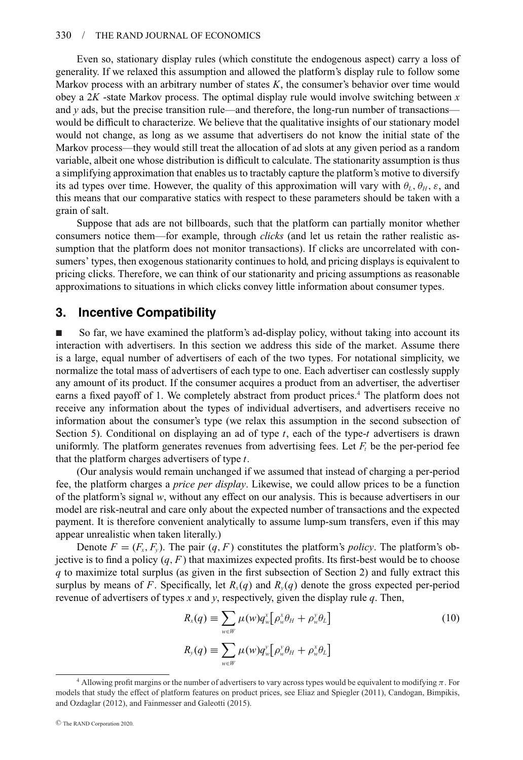Even so, stationary display rules (which constitute the endogenous aspect) carry a loss of generality. If we relaxed this assumption and allowed the platform's display rule to follow some Markov process with an arbitrary number of states *K*, the consumer's behavior over time would obey a 2*K* -state Markov process. The optimal display rule would involve switching between *x* and  $y$  ads, but the precise transition rule—and therefore, the long-run number of transactions would be difficult to characterize. We believe that the qualitative insights of our stationary model would not change, as long as we assume that advertisers do not know the initial state of the Markov process—they would still treat the allocation of ad slots at any given period as a random variable, albeit one whose distribution is difficult to calculate. The stationarity assumption is thus a simplifying approximation that enables us to tractably capture the platform's motive to diversify its ad types over time. However, the quality of this approximation will vary with  $\theta_L$ ,  $\theta_H$ ,  $\varepsilon$ , and this means that our comparative statics with respect to these parameters should be taken with a grain of salt.

Suppose that ads are not billboards, such that the platform can partially monitor whether consumers notice them—for example, through *clicks* (and let us retain the rather realistic assumption that the platform does not monitor transactions). If clicks are uncorrelated with consumers' types, then exogenous stationarity continues to hold, and pricing displays is equivalent to pricing clicks. Therefore, we can think of our stationarity and pricing assumptions as reasonable approximations to situations in which clicks convey little information about consumer types.

## **3. Incentive Compatibility**

- So far, we have examined the platform's ad-display policy, without taking into account its interaction with advertisers. In this section we address this side of the market. Assume there is a large, equal number of advertisers of each of the two types. For notational simplicity, we normalize the total mass of advertisers of each type to one. Each advertiser can costlessly supply any amount of its product. If the consumer acquires a product from an advertiser, the advertiser earns a fixed payoff of 1. We completely abstract from product prices.<sup>4</sup> The platform does not receive any information about the types of individual advertisers, and advertisers receive no information about the consumer's type (we relax this assumption in the second subsection of Section 5). Conditional on displaying an ad of type *t*, each of the type-*t* advertisers is drawn uniformly. The platform generates revenues from advertising fees. Let  $F_t$  be the per-period fee that the platform charges advertisers of type *t*.

(Our analysis would remain unchanged if we assumed that instead of charging a per-period fee, the platform charges a *price per display*. Likewise, we could allow prices to be a function of the platform's signal *w*, without any effect on our analysis. This is because advertisers in our model are risk-neutral and care only about the expected number of transactions and the expected payment. It is therefore convenient analytically to assume lump-sum transfers, even if this may appear unrealistic when taken literally.)

Denote  $F = (F_x, F_y)$ . The pair  $(q, F)$  constitutes the platform's *policy*. The platform's objective is to find a policy  $(q, F)$  that maximizes expected profits. Its first-best would be to choose *q* to maximize total surplus (as given in the first subsection of Section 2) and fully extract this surplus by means of *F*. Specifically, let  $R_{y}(q)$  and  $R_{y}(q)$  denote the gross expected per-period revenue of advertisers of types *x* and *y*, respectively, given the display rule *q*. Then,

$$
R_x(q) \equiv \sum_{w \in W} \mu(w) q_w^x \big[ \rho_w^x \theta_H + \rho_w^y \theta_L \big]
$$
  
\n
$$
R_y(q) \equiv \sum_{w \in W} \mu(w) q_w^y \big[ \rho_w^y \theta_H + \rho_w^x \theta_L \big]
$$
\n(10)

<sup>&</sup>lt;sup>4</sup> Allowing profit margins or the number of advertisers to vary across types would be equivalent to modifying  $\pi$ . For models that study the effect of platform features on product prices, see Eliaz and Spiegler (2011), Candogan, Bimpikis, and Ozdaglar (2012), and Fainmesser and Galeotti (2015).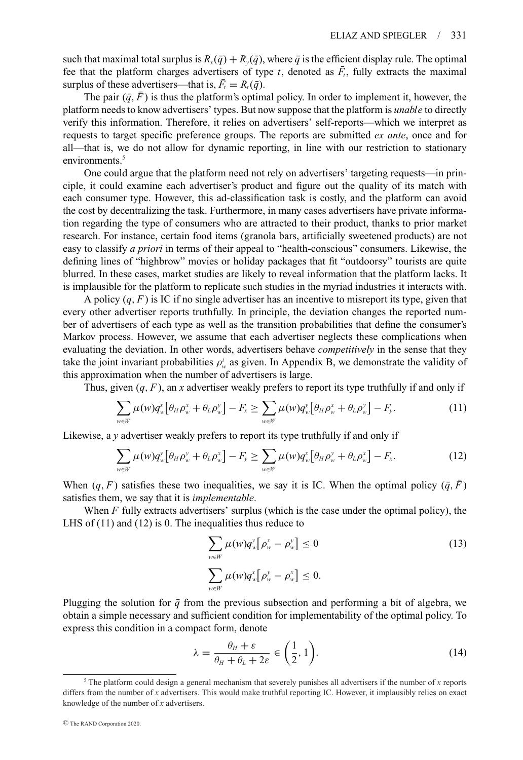such that maximal total surplus is  $R_x(\bar{q}) + R_y(\bar{q})$ , where  $\bar{q}$  is the efficient display rule. The optimal fee that the platform charges advertisers of type  $t$ , denoted as  $\bar{F}_t$ , fully extracts the maximal surplus of these advertisers—that is,  $\bar{F}_t = R_t(\bar{q})$ .

The pair  $(\bar{q}, \bar{F})$  is thus the platform's optimal policy. In order to implement it, however, the platform needs to know advertisers' types. But now suppose that the platform is *unable* to directly verify this information. Therefore, it relies on advertisers' self-reports—which we interpret as requests to target specific preference groups. The reports are submitted *ex ante*, once and for all—that is, we do not allow for dynamic reporting, in line with our restriction to stationary environments.<sup>5</sup>

One could argue that the platform need not rely on advertisers' targeting requests—in principle, it could examine each advertiser's product and figure out the quality of its match with each consumer type. However, this ad-classification task is costly, and the platform can avoid the cost by decentralizing the task. Furthermore, in many cases advertisers have private information regarding the type of consumers who are attracted to their product, thanks to prior market research. For instance, certain food items (granola bars, artificially sweetened products) are not easy to classify *a priori* in terms of their appeal to "health-conscious" consumers. Likewise, the defining lines of "highbrow" movies or holiday packages that fit "outdoorsy" tourists are quite blurred. In these cases, market studies are likely to reveal information that the platform lacks. It is implausible for the platform to replicate such studies in the myriad industries it interacts with.

A policy  $(q, F)$  is IC if no single advertiser has an incentive to misreport its type, given that every other advertiser reports truthfully. In principle, the deviation changes the reported number of advertisers of each type as well as the transition probabilities that define the consumer's Markov process. However, we assume that each advertiser neglects these complications when evaluating the deviation. In other words, advertisers behave *competitively* in the sense that they take the joint invariant probabilities  $\rho_w^t$  as given. In Appendix B, we demonstrate the validity of this approximation when the number of advertisers is large.

Thus, given  $(q, F)$ , an *x* advertiser weakly prefers to report its type truthfully if and only if

$$
\sum_{w \in W} \mu(w) q_w^x \big[ \theta_H \rho_w^x + \theta_L \rho_w^y \big] - F_x \ge \sum_{w \in W} \mu(w) q_w^y \big[ \theta_H \rho_w^x + \theta_L \rho_w^y \big] - F_y. \tag{11}
$$

Likewise, a *y* advertiser weakly prefers to report its type truthfully if and only if

$$
\sum_{w \in W} \mu(w) q_w^{\nu} \left[ \theta_H \rho_w^{\nu} + \theta_L \rho_w^{\nu} \right] - F_{\nu} \ge \sum_{w \in W} \mu(w) q_w^{\nu} \left[ \theta_H \rho_w^{\nu} + \theta_L \rho_w^{\nu} \right] - F_{\nu}.
$$
 (12)

When  $(q, F)$  satisfies these two inequalities, we say it is IC. When the optimal policy  $(\bar{q}, \bar{F})$ satisfies them, we say that it is *implementable*.

When *F* fully extracts advertisers' surplus (which is the case under the optimal policy), the LHS of (11) and (12) is 0. The inequalities thus reduce to

$$
\sum_{w \in W} \mu(w) q_w^y \big[ \rho_w^x - \rho_w^y \big] \le 0
$$
\n
$$
\sum_{w \in W} \mu(w) q_w^x \big[ \rho_w^y - \rho_w^x \big] \le 0.
$$
\n(13)

Plugging the solution for  $\bar{q}$  from the previous subsection and performing a bit of algebra, we obtain a simple necessary and sufficient condition for implementability of the optimal policy. To express this condition in a compact form, denote

$$
\lambda = \frac{\theta_H + \varepsilon}{\theta_H + \theta_L + 2\varepsilon} \in \left(\frac{1}{2}, 1\right). \tag{14}
$$

 $5$  The platform could design a general mechanism that severely punishes all advertisers if the number of *x* reports differs from the number of *x* advertisers. This would make truthful reporting IC. However, it implausibly relies on exact knowledge of the number of *x* advertisers.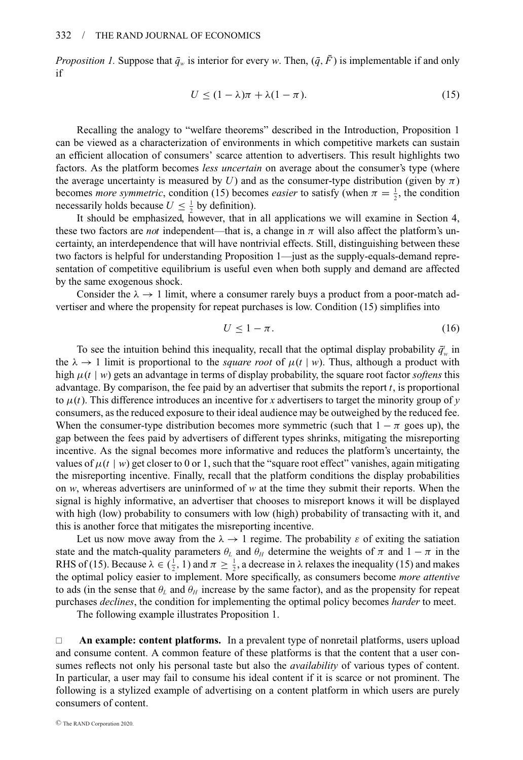*Proposition 1.* Suppose that  $\bar{q}_w$  is interior for every *w*. Then,  $(\bar{q}, \bar{F})$  is implementable if and only if

$$
U \le (1 - \lambda)\pi + \lambda(1 - \pi). \tag{15}
$$

Recalling the analogy to "welfare theorems" described in the Introduction, Proposition 1 can be viewed as a characterization of environments in which competitive markets can sustain an efficient allocation of consumers' scarce attention to advertisers. This result highlights two factors. As the platform becomes *less uncertain* on average about the consumer's type (where the average uncertainty is measured by *U*) and as the consumer-type distribution (given by  $\pi$ ) becomes *more symmetric*, condition (15) becomes *easier* to satisfy (when  $\pi = \frac{1}{2}$ , the condition necessarily holds because  $U \leq \frac{1}{2}$  by definition).

It should be emphasized, however, that in all applications we will examine in Section 4, these two factors are *not* independent—that is, a change in  $\pi$  will also affect the platform's uncertainty, an interdependence that will have nontrivial effects. Still, distinguishing between these two factors is helpful for understanding Proposition 1—just as the supply-equals-demand representation of competitive equilibrium is useful even when both supply and demand are affected by the same exogenous shock.

Consider the  $\lambda \rightarrow 1$  limit, where a consumer rarely buys a product from a poor-match advertiser and where the propensity for repeat purchases is low. Condition (15) simplifies into

$$
U \le 1 - \pi. \tag{16}
$$

To see the intuition behind this inequality, recall that the optimal display probability  $\bar{q}'_w$  in the  $\lambda \to 1$  limit is proportional to the *square root* of  $\mu(t \mid w)$ . Thus, although a product with high  $\mu(t \mid w)$  gets an advantage in terms of display probability, the square root factor *softens* this advantage. By comparison, the fee paid by an advertiser that submits the report *t*, is proportional to  $\mu(t)$ . This difference introduces an incentive for *x* advertisers to target the minority group of *y* consumers, as the reduced exposure to their ideal audience may be outweighed by the reduced fee. When the consumer-type distribution becomes more symmetric (such that  $1 - \pi$  goes up), the gap between the fees paid by advertisers of different types shrinks, mitigating the misreporting incentive. As the signal becomes more informative and reduces the platform's uncertainty, the values of  $\mu(t \mid w)$  get closer to 0 or 1, such that the "square root effect" vanishes, again mitigating the misreporting incentive. Finally, recall that the platform conditions the display probabilities on *w*, whereas advertisers are uninformed of *w* at the time they submit their reports. When the signal is highly informative, an advertiser that chooses to misreport knows it will be displayed with high (low) probability to consumers with low (high) probability of transacting with it, and this is another force that mitigates the misreporting incentive.

Let us now move away from the  $\lambda \rightarrow 1$  regime. The probability  $\varepsilon$  of exiting the satiation state and the match-quality parameters  $\theta_L$  and  $\theta_H$  determine the weights of  $\pi$  and  $1 - \pi$  in the RHS of (15). Because  $\lambda \in (\frac{1}{2}, 1)$  and  $\pi \ge \frac{1}{2}$ , a decrease in  $\lambda$  relaxes the inequality (15) and makes the optimal policy easier to implement. More specifically, as consumers become *more attentive* to ads (in the sense that  $\theta_L$  and  $\theta_H$  increase by the same factor), and as the propensity for repeat purchases *declines*, the condition for implementing the optimal policy becomes *harder* to meet.

The following example illustrates Proposition 1.

 **An example: content platforms.** In a prevalent type of nonretail platforms, users upload and consume content. A common feature of these platforms is that the content that a user consumes reflects not only his personal taste but also the *availability* of various types of content. In particular, a user may fail to consume his ideal content if it is scarce or not prominent. The following is a stylized example of advertising on a content platform in which users are purely consumers of content.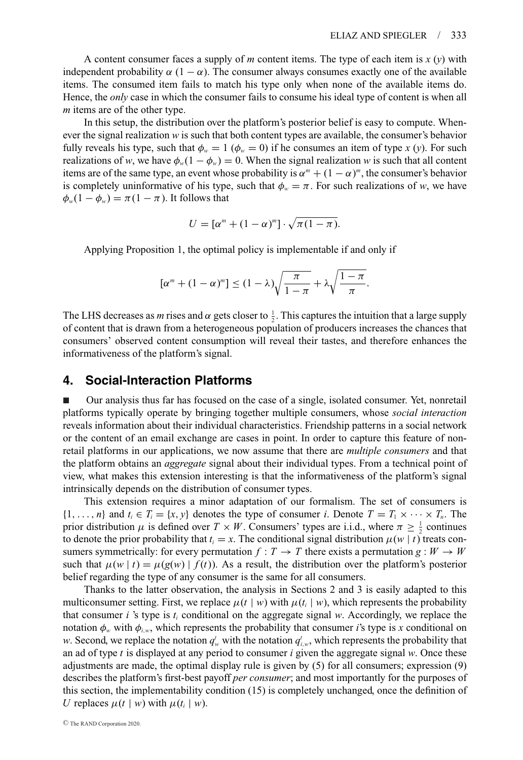A content consumer faces a supply of *m* content items. The type of each item is  $x(y)$  with independent probability  $\alpha$  (1 –  $\alpha$ ). The consumer always consumes exactly one of the available items. The consumed item fails to match his type only when none of the available items do. Hence, the *only* case in which the consumer fails to consume his ideal type of content is when all *m* items are of the other type.

In this setup, the distribution over the platform's posterior belief is easy to compute. Whenever the signal realization *w* is such that both content types are available, the consumer's behavior fully reveals his type, such that  $\phi_w = 1$  ( $\phi_w = 0$ ) if he consumes an item of type *x* (*y*). For such realizations of *w*, we have  $\phi_w(1 - \phi_w) = 0$ . When the signal realization *w* is such that all content items are of the same type, an event whose probability is  $\alpha^m + (1 - \alpha)^m$ , the consumer's behavior is completely uninformative of his type, such that  $\phi_w = \pi$ . For such realizations of *w*, we have  $\phi_w(1-\phi_w)=\pi(1-\pi)$ . It follows that

$$
U=[\alpha^m+(1-\alpha)^m]\cdot\sqrt{\pi(1-\pi)}.
$$

Applying Proposition 1, the optimal policy is implementable if and only if

$$
[\alpha^m + (1 - \alpha)^m] \le (1 - \lambda) \sqrt{\frac{\pi}{1 - \pi}} + \lambda \sqrt{\frac{1 - \pi}{\pi}}.
$$

The LHS decreases as *m* rises and  $\alpha$  gets closer to  $\frac{1}{2}$ . This captures the intuition that a large supply of content that is drawn from a heterogeneous population of producers increases the chances that consumers' observed content consumption will reveal their tastes, and therefore enhances the informativeness of the platform's signal.

## **4. Social-Interaction Platforms**

- Our analysis thus far has focused on the case of a single, isolated consumer. Yet, nonretail platforms typically operate by bringing together multiple consumers, whose *social interaction* reveals information about their individual characteristics. Friendship patterns in a social network or the content of an email exchange are cases in point. In order to capture this feature of nonretail platforms in our applications, we now assume that there are *multiple consumers* and that the platform obtains an *aggregate* signal about their individual types. From a technical point of view, what makes this extension interesting is that the informativeness of the platform's signal intrinsically depends on the distribution of consumer types.

This extension requires a minor adaptation of our formalism. The set of consumers is  $\{1,\ldots,n\}$  and  $t_i \in T_i = \{x,y\}$  denotes the type of consumer *i*. Denote  $T = T_1 \times \cdots \times T_n$ . The prior distribution  $\mu$  is defined over  $T \times W$ . Consumers' types are i.i.d., where  $\pi \geq \frac{1}{2}$  continues to denote the prior probability that  $t_i = x$ . The conditional signal distribution  $\mu(w | t)$  treats consumers symmetrically: for every permutation  $f: T \rightarrow T$  there exists a permutation  $g: W \rightarrow W$ such that  $\mu(w | t) = \mu(g(w) | f(t))$ . As a result, the distribution over the platform's posterior belief regarding the type of any consumer is the same for all consumers.

Thanks to the latter observation, the analysis in Sections 2 and 3 is easily adapted to this multiconsumer setting. First, we replace  $\mu(t \mid w)$  with  $\mu(t_i \mid w)$ , which represents the probability that consumer *i* 's type is *ti* conditional on the aggregate signal *w*. Accordingly, we replace the notation  $\phi_w$  with  $\phi_{i,w}$ , which represents the probability that consumer *i*'s type is *x* conditional on *w*. Second, we replace the notation  $q_w^t$  with the notation  $q_{i,w}^t$ , which represents the probability that an ad of type *t* is displayed at any period to consumer *i* given the aggregate signal *w*. Once these adjustments are made, the optimal display rule is given by (5) for all consumers; expression (9) describes the platform's first-best payoff *per consumer*; and most importantly for the purposes of this section, the implementability condition (15) is completely unchanged, once the definition of *U* replaces  $\mu(t | w)$  with  $\mu(t_i | w)$ .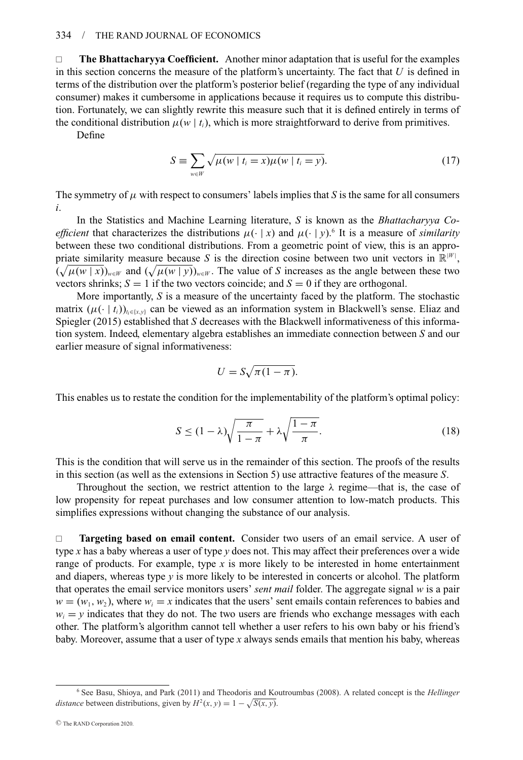**The Bhattacharyya Coefficient.** Another minor adaptation that is useful for the examples in this section concerns the measure of the platform's uncertainty. The fact that *U* is defined in terms of the distribution over the platform's posterior belief (regarding the type of any individual consumer) makes it cumbersome in applications because it requires us to compute this distribution. Fortunately, we can slightly rewrite this measure such that it is defined entirely in terms of the conditional distribution  $\mu(w \mid t_i)$ , which is more straightforward to derive from primitives.

Define

$$
S \equiv \sum_{w \in W} \sqrt{\mu(w \mid t_i = x) \mu(w \mid t_i = y)}.
$$
\n(17)

The symmetry of  $\mu$  with respect to consumers' labels implies that *S* is the same for all consumers *i*.

In the Statistics and Machine Learning literature, *S* is known as the *Bhattacharyya Coefficient* that characterizes the distributions  $\mu(\cdot | x)$  and  $\mu(\cdot | y)$ .<sup>6</sup> It is a measure of *similarity* between these two conditional distributions. From a geometric point of view, this is an appropriate similarity measure because S is the direction cosine between two unit vectors in  $\mathbb{R}^{|W|}$ ,  $(\sqrt{\mu(w|x)})_{w \in W}$  and  $(\sqrt{\mu(w|y)})_{w \in W}$ . The value of *S* increases as the angle between these two vectors shrinks;  $S = 1$  if the two vectors coincide; and  $S = 0$  if they are orthogonal.

More importantly, *S* is a measure of the uncertainty faced by the platform. The stochastic matrix  $(\mu(\cdot | t_i))_{t\in\{x,y\}}$  can be viewed as an information system in Blackwell's sense. Eliaz and Spiegler (2015) established that *S* decreases with the Blackwell informativeness of this information system. Indeed, elementary algebra establishes an immediate connection between *S* and our earlier measure of signal informativeness:

$$
U = S\sqrt{\pi(1-\pi)}.
$$

This enables us to restate the condition for the implementability of the platform's optimal policy:

$$
S \le (1 - \lambda) \sqrt{\frac{\pi}{1 - \pi}} + \lambda \sqrt{\frac{1 - \pi}{\pi}}.
$$
\n(18)

This is the condition that will serve us in the remainder of this section. The proofs of the results in this section (as well as the extensions in Section 5) use attractive features of the measure *S*.

Throughout the section, we restrict attention to the large  $\lambda$  regime—that is, the case of low propensity for repeat purchases and low consumer attention to low-match products. This simplifies expressions without changing the substance of our analysis.

 **Targeting based on email content.** Consider two users of an email service. A user of type *x* has a baby whereas a user of type *y* does not. This may affect their preferences over a wide range of products. For example, type *x* is more likely to be interested in home entertainment and diapers, whereas type *y* is more likely to be interested in concerts or alcohol. The platform that operates the email service monitors users' *sent mail* folder. The aggregate signal *w* is a pair  $w = (w_1, w_2)$ , where  $w_i = x$  indicates that the users' sent emails contain references to babies and  $w_i = y$  indicates that they do not. The two users are friends who exchange messages with each other. The platform's algorithm cannot tell whether a user refers to his own baby or his friend's baby. Moreover, assume that a user of type *x* always sends emails that mention his baby, whereas

<sup>6</sup> See Basu, Shioya, and Park (2011) and Theodoris and Koutroumbas (2008). A related concept is the *Hellinger distance* between distributions, given by  $H^2(x, y) = 1 - \sqrt{S(x, y)}$ .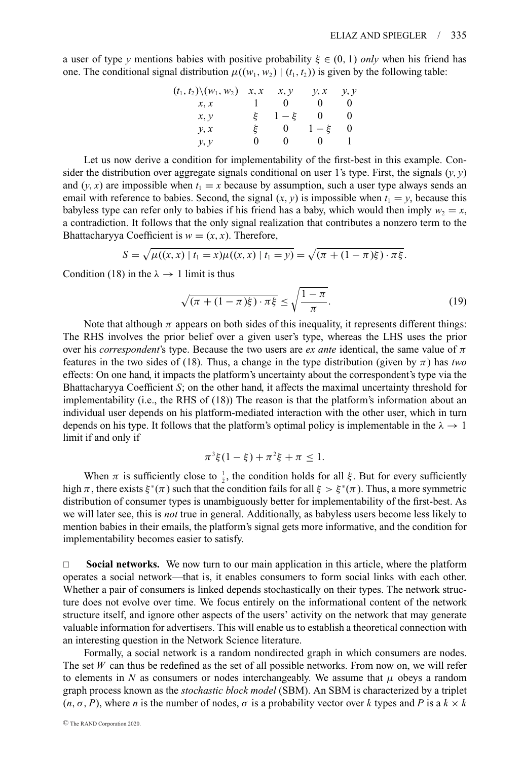a user of type *y* mentions babies with positive probability  $\xi \in (0, 1)$  *only* when his friend has one. The conditional signal distribution  $\mu((w_1, w_2) | (t_1, t_2))$  is given by the following table:

$$
(t_1, t_2) \setminus (w_1, w_2) \quad x, x \quad x, y \quad y, x \quad y, y
$$
  

$$
x, x \quad 1 \quad 0 \quad 0 \quad 0
$$
  

$$
x, y \quad \xi \quad 1 - \xi \quad 0 \quad 0
$$
  

$$
y, x \quad \xi \quad 0 \quad 1 - \xi \quad 0
$$
  

$$
y, y \quad 0 \quad 0 \quad 0 \quad 1
$$

Let us now derive a condition for implementability of the first-best in this example. Consider the distribution over aggregate signals conditional on user 1's type. First, the signals  $(y, y)$ and  $(y, x)$  are impossible when  $t_1 = x$  because by assumption, such a user type always sends an email with reference to babies. Second, the signal  $(x, y)$  is impossible when  $t_1 = y$ , because this babyless type can refer only to babies if his friend has a baby, which would then imply  $w_2 = x$ , a contradiction. It follows that the only signal realization that contributes a nonzero term to the Bhattacharyya Coefficient is  $w = (x, x)$ . Therefore,

$$
S = \sqrt{\mu((x, x) | t_1 = x) \mu((x, x) | t_1 = y)} = \sqrt{(\pi + (1 - \pi)\xi) \cdot \pi \xi}.
$$

Condition (18) in the  $\lambda \rightarrow 1$  limit is thus

$$
\sqrt{(\pi + (1 - \pi)\xi) \cdot \pi\xi} \le \sqrt{\frac{1 - \pi}{\pi}}.
$$
\n(19)

Note that although  $\pi$  appears on both sides of this inequality, it represents different things: The RHS involves the prior belief over a given user's type, whereas the LHS uses the prior over his *correspondent*'s type. Because the two users are *ex ante* identical, the same value of  $\pi$ features in the two sides of (18). Thus, a change in the type distribution (given by  $\pi$ ) has *two* effects: On one hand, it impacts the platform's uncertainty about the correspondent's type via the Bhattacharyya Coefficient *S*; on the other hand, it affects the maximal uncertainty threshold for implementability (i.e., the RHS of (18)) The reason is that the platform's information about an individual user depends on his platform-mediated interaction with the other user, which in turn depends on his type. It follows that the platform's optimal policy is implementable in the  $\lambda \to 1$ limit if and only if

$$
\pi^3 \xi (1 - \xi) + \pi^2 \xi + \pi \leq 1.
$$

When  $\pi$  is sufficiently close to  $\frac{1}{2}$ , the condition holds for all  $\xi$ . But for every sufficiently high  $\pi$ , there exists  $\xi^*(\pi)$  such that the condition fails for all  $\xi > \xi^*(\pi)$ . Thus, a more symmetric distribution of consumer types is unambiguously better for implementability of the first-best. As we will later see, this is *not* true in general. Additionally, as babyless users become less likely to mention babies in their emails, the platform's signal gets more informative, and the condition for implementability becomes easier to satisfy.

 $\Box$  **Social networks.** We now turn to our main application in this article, where the platform operates a social network—that is, it enables consumers to form social links with each other. Whether a pair of consumers is linked depends stochastically on their types. The network structure does not evolve over time. We focus entirely on the informational content of the network structure itself, and ignore other aspects of the users' activity on the network that may generate valuable information for advertisers. This will enable us to establish a theoretical connection with an interesting question in the Network Science literature.

Formally, a social network is a random nondirected graph in which consumers are nodes. The set *W* can thus be redefined as the set of all possible networks. From now on, we will refer to elements in *N* as consumers or nodes interchangeably. We assume that  $\mu$  obeys a random graph process known as the *stochastic block model* (SBM). An SBM is characterized by a triplet  $(n, \sigma, P)$ , where *n* is the number of nodes,  $\sigma$  is a probability vector over *k* types and *P* is a  $k \times k$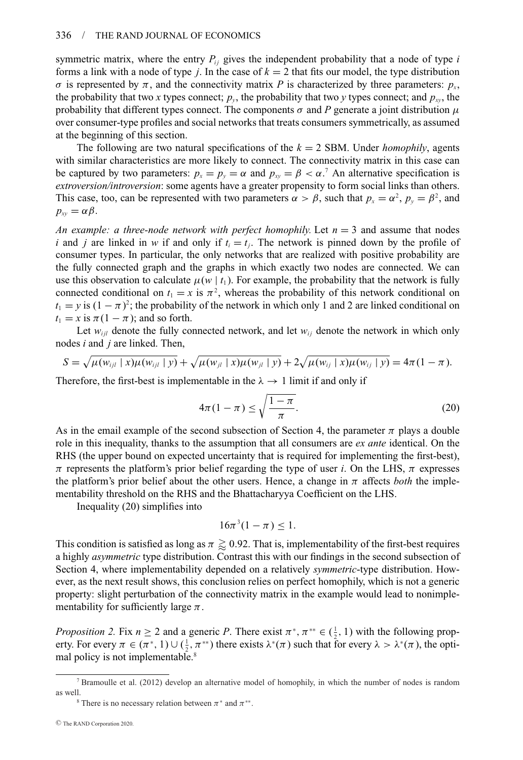symmetric matrix, where the entry  $P_{ij}$  gives the independent probability that a node of type  $i$ forms a link with a node of type *j*. In the case of  $k = 2$  that fits our model, the type distribution σ is represented by π, and the connectivity matrix *P* is characterized by three parameters:  $p_x$ , the probability that two *x* types connect;  $p_y$ , the probability that two *y* types connect; and  $p_x$ , the probability that different types connect. The components  $\sigma$  and *P* generate a joint distribution  $\mu$ over consumer-type profiles and social networks that treats consumers symmetrically, as assumed at the beginning of this section.

The following are two natural specifications of the *k* = 2 SBM. Under *homophily*, agents with similar characteristics are more likely to connect. The connectivity matrix in this case can be captured by two parameters:  $p_x = p_y = \alpha$  and  $p_{xy} = \beta < \alpha$ .<sup>7</sup> An alternative specification is *extroversion/introversion*: some agents have a greater propensity to form social links than others. This case, too, can be represented with two parameters  $\alpha > \beta$ , such that  $p_x = \alpha^2$ ,  $p_y = \beta^2$ , and  $p_{xy} = \alpha \beta$ .

*An example: a three-node network with perfect homophily.* Let  $n = 3$  and assume that nodes *i* and *j* are linked in *w* if and only if  $t_i = t_j$ . The network is pinned down by the profile of consumer types. In particular, the only networks that are realized with positive probability are the fully connected graph and the graphs in which exactly two nodes are connected. We can use this observation to calculate  $\mu(w \mid t_1)$ . For example, the probability that the network is fully connected conditional on  $t_1 = x$  is  $\pi^2$ , whereas the probability of this network conditional on  $t_1 = y$  is  $(1 - \pi)^2$ ; the probability of the network in which only 1 and 2 are linked conditional on  $t_1 = x$  is  $\pi(1 - \pi)$ ; and so forth.

Let  $w_{ii}$  denote the fully connected network, and let  $w_{ii}$  denote the network in which only nodes *i* and *j* are linked. Then,

$$
S = \sqrt{\mu(w_{ijl} \mid x) \mu(w_{ijl} \mid y)} + \sqrt{\mu(w_{jl} \mid x) \mu(w_{jl} \mid y)} + 2\sqrt{\mu(w_{ij} \mid x) \mu(w_{ij} \mid y)} = 4\pi(1 - \pi).
$$

Therefore, the first-best is implementable in the  $\lambda \rightarrow 1$  limit if and only if

$$
4\pi(1-\pi) \le \sqrt{\frac{1-\pi}{\pi}}.\tag{20}
$$

As in the email example of the second subsection of Section 4, the parameter  $\pi$  plays a double role in this inequality, thanks to the assumption that all consumers are *ex ante* identical. On the RHS (the upper bound on expected uncertainty that is required for implementing the first-best),  $π$  represents the platform's prior belief regarding the type of user *i*. On the LHS,  $π$  expresses the platform's prior belief about the other users. Hence, a change in  $\pi$  affects *both* the implementability threshold on the RHS and the Bhattacharyya Coefficient on the LHS.

Inequality (20) simplifies into

$$
16\pi^3(1-\pi) \leq 1.
$$

This condition is satisfied as long as  $\pi \gtrapprox 0.92$ . That is, implementability of the first-best requires a highly *asymmetric* type distribution. Contrast this with our findings in the second subsection of Section 4, where implementability depended on a relatively *symmetric*-type distribution. However, as the next result shows, this conclusion relies on perfect homophily, which is not a generic property: slight perturbation of the connectivity matrix in the example would lead to nonimplementability for sufficiently large  $\pi$ .

*Proposition 2.* Fix  $n \ge 2$  and a generic *P*. There exist  $\pi^*$ ,  $\pi^{**} \in (\frac{1}{2}, 1)$  with the following property. For every  $\pi \in (\pi^*, 1) \cup (\frac{1}{2}, \pi^{**})$  there exists  $\lambda^*(\pi)$  such that for every  $\lambda > \lambda^*(\pi)$ , the optimal policy is not implementable.<sup>8</sup>

<sup>7</sup> Bramoulle et al. (2012) develop an alternative model of homophily, in which the number of nodes is random as well.<br><sup>8</sup> There is no necessary relation between  $\pi^*$  and  $\pi^{**}$ .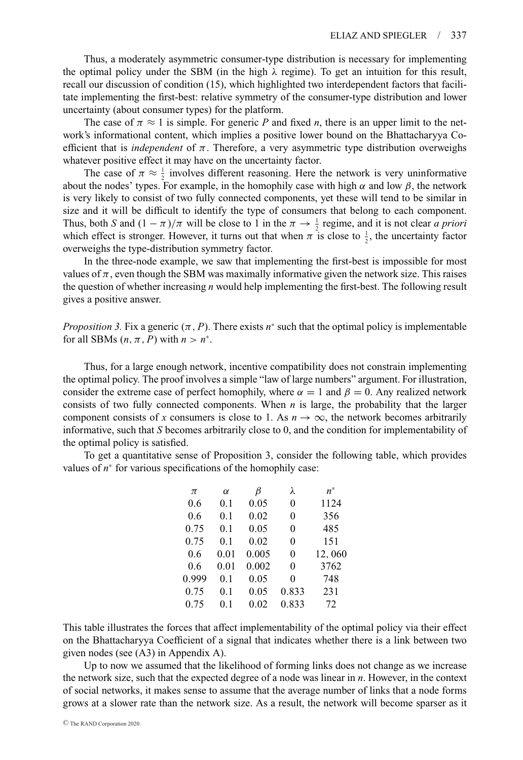Thus, a moderately asymmetric consumer-type distribution is necessary for implementing the optimal policy under the SBM (in the high  $\lambda$  regime). To get an intuition for this result, recall our discussion of condition (15), which highlighted two interdependent factors that facilitate implementing the first-best: relative symmetry of the consumer-type distribution and lower uncertainty (about consumer types) for the platform.

The case of  $\pi \approx 1$  is simple. For generic P and fixed *n*, there is an upper limit to the network's informational content, which implies a positive lower bound on the Bhattacharyya Coefficient that is *independent* of  $\pi$ . Therefore, a very asymmetric type distribution overweighs whatever positive effect it may have on the uncertainty factor.

The case of  $\pi \approx \frac{1}{2}$  involves different reasoning. Here the network is very uninformative about the nodes' types. For example, in the homophily case with high  $\alpha$  and low  $\beta$ , the network is very likely to consist of two fully connected components, yet these will tend to be similar in size and it will be difficult to identify the type of consumers that belong to each component. Thus, both *S* and  $(1 - \pi)/\pi$  will be close to 1 in the  $\pi \to \frac{1}{2}$  regime, and it is not clear *a priori* which effect is stronger. However, it turns out that when  $\pi$  is close to  $\frac{1}{2}$ , the uncertainty factor overweighs the type-distribution symmetry factor.

In the three-node example, we saw that implementing the first-best is impossible for most values of  $\pi$ , even though the SBM was maximally informative given the network size. This raises the question of whether increasing *n* would help implementing the first-best. The following result gives a positive answer.

*Proposition 3.* Fix a generic  $(\pi, P)$ . There exists  $n^*$  such that the optimal policy is implementable for all SBMs  $(n, \pi, P)$  with  $n > n^*$ .

Thus, for a large enough network, incentive compatibility does not constrain implementing the optimal policy. The proof involves a simple "law of large numbers" argument. For illustration, consider the extreme case of perfect homophily, where  $\alpha = 1$  and  $\beta = 0$ . Any realized network consists of two fully connected components. When *n* is large, the probability that the larger component consists of *x* consumers is close to 1. As  $n \to \infty$ , the network becomes arbitrarily informative, such that *S* becomes arbitrarily close to 0, and the condition for implementability of the optimal policy is satisfied.

To get a quantitative sense of Proposition 3, consider the following table, which provides values of *n*<sup>∗</sup> for various specifications of the homophily case:

| π     | $\alpha$ | B     | λ        | $n^*$  |
|-------|----------|-------|----------|--------|
| 0.6   | 0.1      | 0.05  | $\theta$ | 1124   |
| 0.6   | 0.1      | 0.02  | $\theta$ | 356    |
| 0.75  | 0.1      | 0.05  | $\theta$ | 485    |
| 0.75  | 0.1      | 0.02  | $\theta$ | 151    |
| 0.6   | 0.01     | 0.005 | $\theta$ | 12,060 |
| 0.6   | 0.01     | 0.002 | $\theta$ | 3762   |
| 0.999 | 0.1      | 0.05  | 0        | 748    |
| 0.75  | 0.1      | 0.05  | 0.833    | 231    |
| 0.75  | 0.1      | 0.02  | 0.833    | 72     |

This table illustrates the forces that affect implementability of the optimal policy via their effect on the Bhattacharyya Coefficient of a signal that indicates whether there is a link between two given nodes (see (A3) in Appendix A).

Up to now we assumed that the likelihood of forming links does not change as we increase the network size, such that the expected degree of a node was linear in *n*. However, in the context of social networks, it makes sense to assume that the average number of links that a node forms grows at a slower rate than the network size. As a result, the network will become sparser as it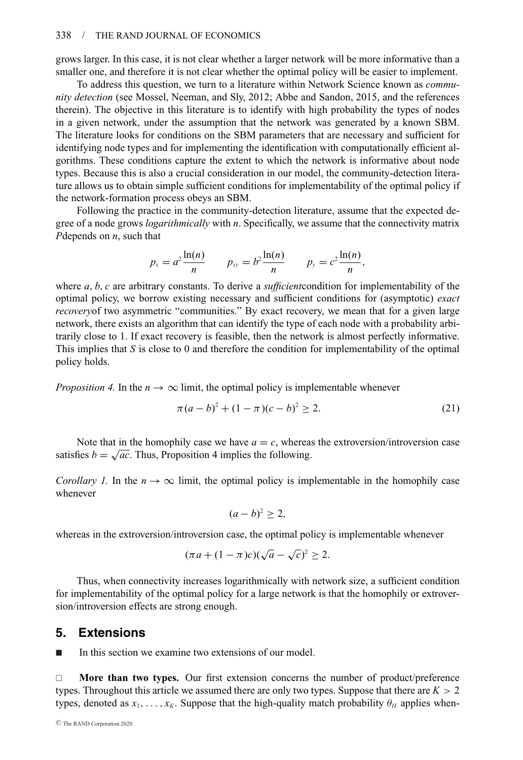grows larger. In this case, it is not clear whether a larger network will be more informative than a smaller one, and therefore it is not clear whether the optimal policy will be easier to implement.

To address this question, we turn to a literature within Network Science known as *community detection* (see Mossel, Neeman, and Sly, 2012; Abbe and Sandon, 2015, and the references therein). The objective in this literature is to identify with high probability the types of nodes in a given network, under the assumption that the network was generated by a known SBM. The literature looks for conditions on the SBM parameters that are necessary and sufficient for identifying node types and for implementing the identification with computationally efficient algorithms. These conditions capture the extent to which the network is informative about node types. Because this is also a crucial consideration in our model, the community-detection literature allows us to obtain simple sufficient conditions for implementability of the optimal policy if the network-formation process obeys an SBM.

Following the practice in the community-detection literature, assume that the expected degree of a node grows *logarithmically* with *n*. Specifically, we assume that the connectivity matrix *P*depends on *n*, such that

$$
p_x = a^2 \frac{\ln(n)}{n}
$$
  $p_{xy} = b^2 \frac{\ln(n)}{n}$   $p_y = c^2 \frac{\ln(n)}{n}$ ,

where *a*, *b*, *c* are arbitrary constants. To derive a *sufficient*condition for implementability of the optimal policy, we borrow existing necessary and sufficient conditions for (asymptotic) *exact recovery* of two asymmetric "communities." By exact recovery, we mean that for a given large network, there exists an algorithm that can identify the type of each node with a probability arbitrarily close to 1. If exact recovery is feasible, then the network is almost perfectly informative. This implies that *S* is close to 0 and therefore the condition for implementability of the optimal policy holds.

*Proposition 4.* In the  $n \to \infty$  limit, the optimal policy is implementable whenever

$$
\pi(a-b)^2 + (1-\pi)(c-b)^2 \ge 2.
$$
 (21)

Note that in the homophily case we have  $a = c$ , whereas the extroversion/introversion case satisfies  $b = \sqrt{ac}$ . Thus, Proposition 4 implies the following.

*Corollary 1.* In the  $n \to \infty$  limit, the optimal policy is implementable in the homophily case whenever

$$
(a-b)^2 \geq 2,
$$

whereas in the extroversion/introversion case, the optimal policy is implementable whenever

$$
(\pi a + (1 - \pi)c)(\sqrt{a} - \sqrt{c})^2 \ge 2.
$$

Thus, when connectivity increases logarithmically with network size, a sufficient condition for implementability of the optimal policy for a large network is that the homophily or extroversion/introversion effects are strong enough.

## **5. Extensions**

-In this section we examine two extensions of our model.

□ **More than two types.** Our first extension concerns the number of product/preference types. Throughout this article we assumed there are only two types. Suppose that there are *K* > 2 types, denoted as  $x_1, \ldots, x_k$ . Suppose that the high-quality match probability  $\theta_H$  applies when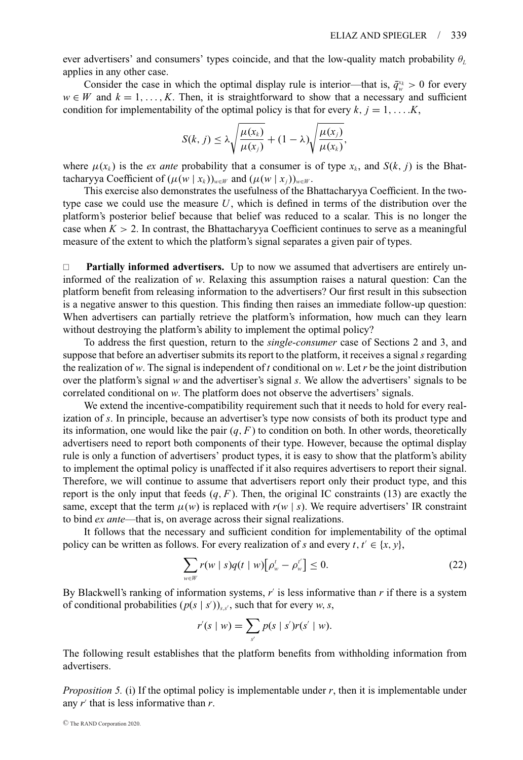ever advertisers' and consumers' types coincide, and that the low-quality match probability θ*<sup>L</sup>* applies in any other case.

Consider the case in which the optimal display rule is interior—that is,  $\bar{q}_{w}^{x_k} > 0$  for every  $w \in W$  and  $k = 1, \ldots, K$ . Then, it is straightforward to show that a necessary and sufficient condition for implementability of the optimal policy is that for every  $k, j = 1, \ldots$ *K*,

$$
S(k, j) \leq \lambda \sqrt{\frac{\mu(x_k)}{\mu(x_j)}} + (1 - \lambda) \sqrt{\frac{\mu(x_j)}{\mu(x_k)}},
$$

where  $\mu(x_k)$  is the *ex ante* probability that a consumer is of type  $x_k$ , and  $S(k, j)$  is the Bhattacharyya Coefficient of  $(\mu(w | x_k))_{w \in W}$  and  $(\mu(w | x_i))_{w \in W}$ .

This exercise also demonstrates the usefulness of the Bhattacharyya Coefficient. In the twotype case we could use the measure *U*, which is defined in terms of the distribution over the platform's posterior belief because that belief was reduced to a scalar. This is no longer the case when  $K > 2$ . In contrast, the Bhattacharyya Coefficient continues to serve as a meaningful measure of the extent to which the platform's signal separates a given pair of types.

 **Partially informed advertisers.** Up to now we assumed that advertisers are entirely uninformed of the realization of *w*. Relaxing this assumption raises a natural question: Can the platform benefit from releasing information to the advertisers? Our first result in this subsection is a negative answer to this question. This finding then raises an immediate follow-up question: When advertisers can partially retrieve the platform's information, how much can they learn without destroying the platform's ability to implement the optimal policy?

To address the first question, return to the *single-consumer* case of Sections 2 and 3, and suppose that before an advertiser submits its report to the platform, it receives a signal *s* regarding the realization of *w*. The signal is independent of *t* conditional on *w*. Let *r* be the joint distribution over the platform's signal *w* and the advertiser's signal *s*. We allow the advertisers' signals to be correlated conditional on *w*. The platform does not observe the advertisers' signals.

We extend the incentive-compatibility requirement such that it needs to hold for every realization of *s*. In principle, because an advertiser's type now consists of both its product type and its information, one would like the pair  $(q, F)$  to condition on both. In other words, theoretically advertisers need to report both components of their type. However, because the optimal display rule is only a function of advertisers' product types, it is easy to show that the platform's ability to implement the optimal policy is unaffected if it also requires advertisers to report their signal. Therefore, we will continue to assume that advertisers report only their product type, and this report is the only input that feeds  $(q, F)$ . Then, the original IC constraints (13) are exactly the same, except that the term  $\mu(w)$  is replaced with  $r(w | s)$ . We require advertisers' IR constraint to bind *ex ante*—that is, on average across their signal realizations.

It follows that the necessary and sufficient condition for implementability of the optimal policy can be written as follows. For every realization of *s* and every *t*,  $t' \in \{x, y\}$ ,

$$
\sum_{w \in W} r(w \mid s) q(t \mid w) \left[ \rho_w^t - \rho_w^{t'} \right] \le 0. \tag{22}
$$

By Blackwell's ranking of information systems, *r* is less informative than *r* if there is a system of conditional probabilities  $(p(s | s'))_{s,s'}$ , such that for every *w*, *s*,

$$
r'(s \mid w) = \sum_{s'} p(s \mid s')r(s' \mid w).
$$

The following result establishes that the platform benefits from withholding information from advertisers.

*Proposition 5.* (i) If the optimal policy is implementable under *r*, then it is implementable under any *r* that is less informative than *r*.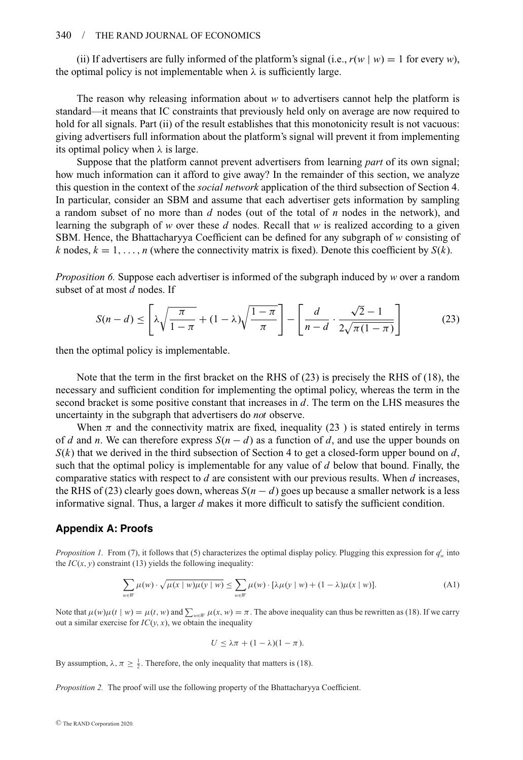(ii) If advertisers are fully informed of the platform's signal (i.e.,  $r(w | w) = 1$  for every *w*), the optimal policy is not implementable when  $\lambda$  is sufficiently large.

The reason why releasing information about *w* to advertisers cannot help the platform is standard—it means that IC constraints that previously held only on average are now required to hold for all signals. Part (ii) of the result establishes that this monotonicity result is not vacuous: giving advertisers full information about the platform's signal will prevent it from implementing its optimal policy when  $\lambda$  is large.

Suppose that the platform cannot prevent advertisers from learning *part* of its own signal; how much information can it afford to give away? In the remainder of this section, we analyze this question in the context of the *social network* application of the third subsection of Section 4. In particular, consider an SBM and assume that each advertiser gets information by sampling a random subset of no more than *d* nodes (out of the total of *n* nodes in the network), and learning the subgraph of *w* over these *d* nodes. Recall that *w* is realized according to a given SBM. Hence, the Bhattacharyya Coefficient can be defined for any subgraph of *w* consisting of *k* nodes,  $k = 1, \ldots, n$  (where the connectivity matrix is fixed). Denote this coefficient by  $S(k)$ .

*Proposition 6.* Suppose each advertiser is informed of the subgraph induced by *w* over a random subset of at most *d* nodes. If

$$
S(n-d) \le \left[ \lambda \sqrt{\frac{\pi}{1-\pi}} + (1-\lambda) \sqrt{\frac{1-\pi}{\pi}} \right] - \left[ \frac{d}{n-d} \cdot \frac{\sqrt{2}-1}{2\sqrt{\pi(1-\pi)}} \right] \tag{23}
$$

then the optimal policy is implementable.

Note that the term in the first bracket on the RHS of (23) is precisely the RHS of (18), the necessary and sufficient condition for implementing the optimal policy, whereas the term in the second bracket is some positive constant that increases in *d*. The term on the LHS measures the uncertainty in the subgraph that advertisers do *not* observe.

When  $\pi$  and the connectivity matrix are fixed, inequality (23) is stated entirely in terms of *d* and *n*. We can therefore express  $S(n - d)$  as a function of *d*, and use the upper bounds on  $S(k)$  that we derived in the third subsection of Section 4 to get a closed-form upper bound on *d*, such that the optimal policy is implementable for any value of *d* below that bound. Finally, the comparative statics with respect to *d* are consistent with our previous results. When *d* increases, the RHS of (23) clearly goes down, whereas  $S(n - d)$  goes up because a smaller network is a less informative signal. Thus, a larger *d* makes it more difficult to satisfy the sufficient condition.

#### **Appendix A: Proofs**

*Proposition 1.* From (7), it follows that (5) characterizes the optimal display policy. Plugging this expression for *qt <sup>w</sup>* into the  $IC(x, y)$  constraint (13) yields the following inequality:

$$
\sum_{w \in W} \mu(w) \cdot \sqrt{\mu(x \mid w)\mu(y \mid w)} \le \sum_{w \in W} \mu(w) \cdot [\lambda \mu(y \mid w) + (1 - \lambda)\mu(x \mid w)]. \tag{A1}
$$

Note that  $\mu(w)\mu(t | w) = \mu(t, w)$  and  $\sum_{w \in W} \mu(x, w) = \pi$ . The above inequality can thus be rewritten as (18). If we carry out a similar exercise for  $IC(y, x)$ , we obtain the inequality

$$
U \leq \lambda \pi + (1 - \lambda)(1 - \pi).
$$

By assumption,  $\lambda$ ,  $\pi \ge \frac{1}{2}$ . Therefore, the only inequality that matters is (18).

*Proposition 2.* The proof will use the following property of the Bhattacharyya Coefficient.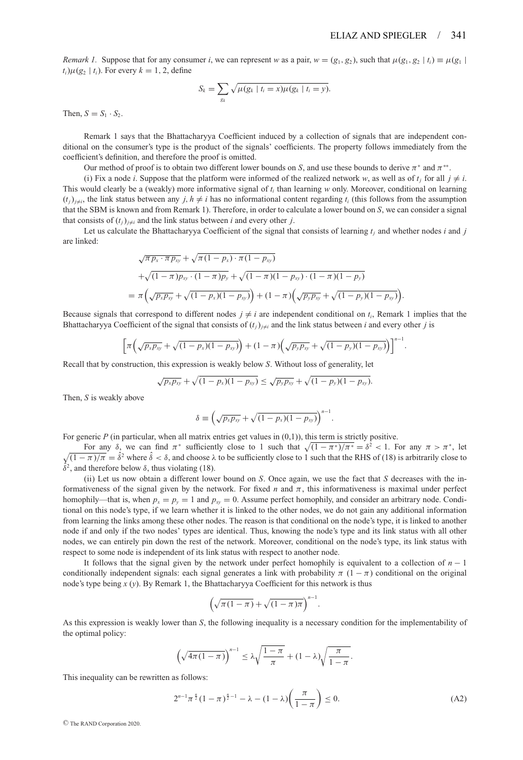*Remark 1.* Suppose that for any consumer *i*, we can represent *w* as a pair,  $w = (g_1, g_2)$ , such that  $\mu(g_1, g_2 | t_i) \equiv \mu(g_1 | t_i)$  $t_i$ ) $\mu$ ( $g_2$  |  $t_i$ ). For every  $k = 1, 2$ , define

$$
S_k = \sum_{g_k} \sqrt{\mu(g_k \mid t_i = x) \mu(g_k \mid t_i = y)}.
$$

Then,  $S = S_1 \cdot S_2$ .

Remark 1 says that the Bhattacharyya Coefficient induced by a collection of signals that are independent conditional on the consumer's type is the product of the signals' coefficients. The property follows immediately from the coefficient's definition, and therefore the proof is omitted.

Our method of proof is to obtain two different lower bounds on *S*, and use these bounds to derive  $\pi^*$  and  $\pi^{**}$ .

(i) Fix a node *i*. Suppose that the platform were informed of the realized network *w*, as well as of  $t_j$  for all  $j \neq i$ . This would clearly be a (weakly) more informative signal of *ti* than learning *w* only. Moreover, conditional on learning  $(t_i)_{i\neq i}$ , the link status between any *j*,  $h \neq i$  has no informational content regarding  $t_i$  (this follows from the assumption that the SBM is known and from Remark 1). Therefore, in order to calculate a lower bound on *S*, we can consider a signal that consists of  $(t_i)_{i \neq i}$  and the link status between *i* and every other *j*.

Let us calculate the Bhattacharyya Coefficient of the signal that consists of learning  $t_i$  and whether nodes  $i$  and  $j$ are linked:

$$
\sqrt{\pi p_x \cdot \pi p_{xy}} + \sqrt{\pi (1 - p_x) \cdot \pi (1 - p_{xy})}
$$
  
+
$$
\sqrt{(1 - \pi) p_{xy} \cdot (1 - \pi) p_y} + \sqrt{(1 - \pi) (1 - p_{xy}) \cdot (1 - \pi) (1 - p_y)}
$$
  
= 
$$
\pi \left( \sqrt{p_x p_{xy}} + \sqrt{(1 - p_x) (1 - p_{xy})} \right) + (1 - \pi) \left( \sqrt{p_y p_{xy}} + \sqrt{(1 - p_y) (1 - p_{xy})} \right).
$$

Because signals that correspond to different nodes  $j \neq i$  are independent conditional on  $t_i$ , Remark 1 implies that the Bhattacharyya Coefficient of the signal that consists of  $(t_i)_{i \neq i}$  and the link status between *i* and every other *j* is

$$
\left[\pi\left(\sqrt{p_x p_{xy}} + \sqrt{(1-p_x)(1-p_{xy})}\right) + (1-\pi)\left(\sqrt{p_y p_{xy}} + \sqrt{(1-p_y)(1-p_{xy})}\right)\right]^{n-1}.
$$

Recall that by construction, this expression is weakly below *S*. Without loss of generality, let

$$
\sqrt{p_x p_{xy}} + \sqrt{(1 - p_x)(1 - p_{xy})} \le \sqrt{p_y p_{xy}} + \sqrt{(1 - p_y)(1 - p_{xy})}.
$$

Then, *S* is weakly above

$$
\delta \equiv \left(\sqrt{p_x p_{xy}} + \sqrt{(1-p_x)(1-p_{xy})}\right)^{n-1}
$$

For generic *P* (in particular, when all matrix entries get values in  $(0,1)$ ), this term is strictly positive.

For any  $\delta$ , we can find  $\pi^*$  sufficiently close to 1 such that  $\sqrt{(1 - \pi^*)/\pi^*} = \delta^2 < 1$ . For any  $\pi > \pi^*$ , let  $\sqrt{(1 - \pi)/\pi} = \hat{\delta}^2$  where  $\hat{\delta} < \delta$ , and choose  $\lambda$  to be sufficiently close to 1 such that the RHS of (18) is arbitrarily close to  $\hat{\delta}^2$ , and therefore below  $\delta$ , thus violating (18).

(ii) Let us now obtain a different lower bound on *S*. Once again, we use the fact that *S* decreases with the informativeness of the signal given by the network. For fixed *n* and π, this informativeness is maximal under perfect homophily—that is, when  $p_x = p_y = 1$  and  $p_{xy} = 0$ . Assume perfect homophily, and consider an arbitrary node. Conditional on this node's type, if we learn whether it is linked to the other nodes, we do not gain any additional information from learning the links among these other nodes. The reason is that conditional on the node's type, it is linked to another node if and only if the two nodes' types are identical. Thus, knowing the node's type and its link status with all other nodes, we can entirely pin down the rest of the network. Moreover, conditional on the node's type, its link status with respect to some node is independent of its link status with respect to another node.

It follows that the signal given by the network under perfect homophily is equivalent to a collection of *n* − 1 conditionally independent signals: each signal generates a link with probability  $\pi$  (1 –  $\pi$ ) conditional on the original node's type being *x* (*y*). By Remark 1, the Bhattacharyya Coefficient for this network is thus

$$
\left(\sqrt{\pi(1-\pi)}+\sqrt{(1-\pi)\pi}\right)^{n-1}.
$$

As this expression is weakly lower than *S*, the following inequality is a necessary condition for the implementability of the optimal policy:

$$
\left(\sqrt{4\pi(1-\pi)}\right)^{n-1} \leq \lambda \sqrt{\frac{1-\pi}{\pi}} + (1-\lambda)\sqrt{\frac{\pi}{1-\pi}}.
$$

This inequality can be rewritten as follows:

$$
2^{n-1}\pi^{\frac{n}{2}}(1-\pi)^{\frac{n}{2}-1} - \lambda - (1-\lambda)\left(\frac{\pi}{1-\pi}\right) \le 0.
$$
 (A2)

.

<sup>C</sup> The RAND Corporation 2020.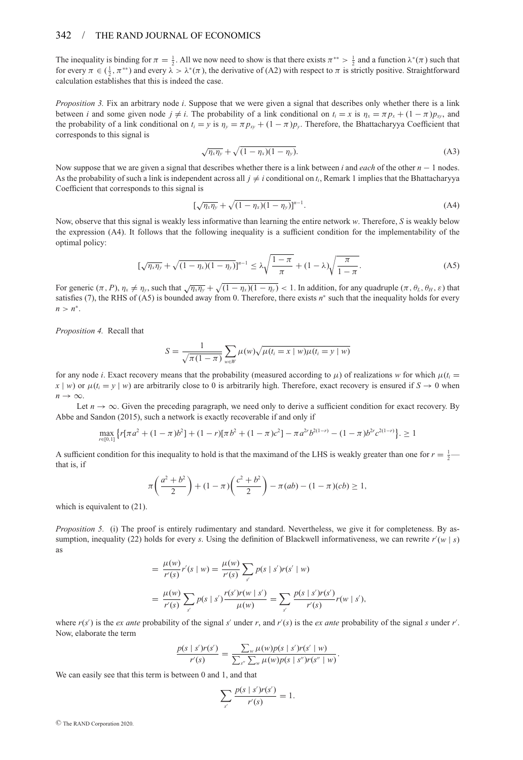#### 342 / THE RAND JOURNAL OF ECONOMICS

The inequality is binding for  $\pi = \frac{1}{2}$ . All we now need to show is that there exists  $\pi^{**} > \frac{1}{2}$  and a function  $\lambda^*(\pi)$  such that for every  $\pi \in (\frac{1}{2}, \pi^{**})$  and every  $\lambda > \lambda^*(\pi)$ , the derivative of (A2) with respect to  $\pi$  is strictly positive. Straightforward calculation establishes that this is indeed the case.

*Proposition 3.* Fix an arbitrary node *i*. Suppose that we were given a signal that describes only whether there is a link between *i* and some given node  $j \neq i$ . The probability of a link conditional on  $t_i = x$  is  $\eta_x = \pi p_x + (1 - \pi)p_y$ , and the probability of a link conditional on  $t_i = y$  is  $\eta_y = \pi p_{xy} + (1 - \pi)p_y$ . Therefore, the Bhattacharyya Coefficient that corresponds to this signal is

$$
\sqrt{\eta_x \eta_y} + \sqrt{(1 - \eta_x)(1 - \eta_y)}.
$$
 (A3)

Now suppose that we are given a signal that describes whether there is a link between *i* and *each* of the other *n* − 1 nodes. As the probability of such a link is independent across all  $j \neq i$  conditional on  $t_i$ , Remark 1 implies that the Bhattacharyya Coefficient that corresponds to this signal is

$$
[\sqrt{\eta_x \eta_y} + \sqrt{(1 - \eta_x)(1 - \eta_y)}]^{n-1}.
$$
 (A4)

Now, observe that this signal is weakly less informative than learning the entire network *w*. Therefore, *S* is weakly below the expression (A4). It follows that the following inequality is a sufficient condition for the implementability of the optimal policy:

$$
\left[\sqrt{\eta_x \eta_y} + \sqrt{(1 - \eta_x)(1 - \eta_y)}\right]^{n-1} \le \lambda \sqrt{\frac{1 - \pi}{\pi}} + (1 - \lambda) \sqrt{\frac{\pi}{1 - \pi}}.\tag{A5}
$$

For generic  $(π, P), η<sub>x</sub> ≠ η<sub>y</sub>$ , such that  $\sqrt{η<sub>x</sub>η<sub>y</sub>} + \sqrt{(1 - η<sub>x</sub>)(1 - η<sub>y</sub>)} < 1$ . In addition, for any quadruple  $(π, θ<sub>L</sub>, θ<sub>H</sub>, ε)$  that satisfies (7), the RHS of (A5) is bounded away from 0. Therefore, there exists *n*<sup>∗</sup> such that the inequality holds for every  $n > n^*$ .

*Proposition 4.* Recall that

$$
S = \frac{1}{\sqrt{\pi(1-\pi)}} \sum_{w \in W} \mu(w) \sqrt{\mu(t_i = x \mid w) \mu(t_i = y \mid w)}
$$

for any node *i*. Exact recovery means that the probability (measured according to  $\mu$ ) of realizations *w* for which  $\mu(t_i =$  $x | w$ ) or  $\mu(t_i = y | w)$  are arbitrarily close to 0 is arbitrarily high. Therefore, exact recovery is ensured if  $S \to 0$  when  $n \rightarrow \infty$ .

Let  $n \to \infty$ . Given the preceding paragraph, we need only to derive a sufficient condition for exact recovery. By Abbe and Sandon (2015), such a network is exactly recoverable if and only if

$$
\max_{r \in [0,1]} \left\{ r[\pi a^2 + (1-\pi) b^2] + (1-r)[\pi b^2 + (1-\pi) c^2] - \pi a^{2r} b^{2(1-r)} - (1-\pi) b^{2r} c^{2(1-r)} \right\} \ge 1
$$

A sufficient condition for this inequality to hold is that the maximand of the LHS is weakly greater than one for  $r = \frac{1}{2}$ that is, if

$$
\pi\left(\frac{a^2+b^2}{2}\right) + (1-\pi)\left(\frac{c^2+b^2}{2}\right) - \pi(ab) - (1-\pi)(cb) \ge 1,
$$

which is equivalent to (21).

*Proposition 5.* (i) The proof is entirely rudimentary and standard. Nevertheless, we give it for completeness. By assumption, inequality (22) holds for every *s*. Using the definition of Blackwell informativeness, we can rewrite  $r'(w \mid s)$ as

$$
= \frac{\mu(w)}{r'(s)} r'(s \mid w) = \frac{\mu(w)}{r'(s)} \sum_{s'} p(s \mid s') r(s' \mid w)
$$
  
= 
$$
\frac{\mu(w)}{r'(s)} \sum_{s'} p(s \mid s') \frac{r(s')r(w \mid s')}{\mu(w)} = \sum_{s'} \frac{p(s \mid s')r(s')}{r'(s)} r(w \mid s'),
$$

where  $r(s')$  is the *ex ante* probability of the signal *s'* under *r*, and  $r'(s)$  is the *ex ante* probability of the signal *s* under  $r'$ . Now, elaborate the term

$$
\frac{p(s \mid s')r(s')}{r'(s)} = \frac{\sum_{w} \mu(w)p(s \mid s')r(s' \mid w)}{\sum_{s''} \sum_{w} \mu(w)p(s \mid s'')r(s'' \mid w)}.
$$

We can easily see that this term is between 0 and 1, and that

$$
\sum_{s'} \frac{p(s \mid s')r(s')}{r'(s)} = 1.
$$

<sup>C</sup> The RAND Corporation 2020.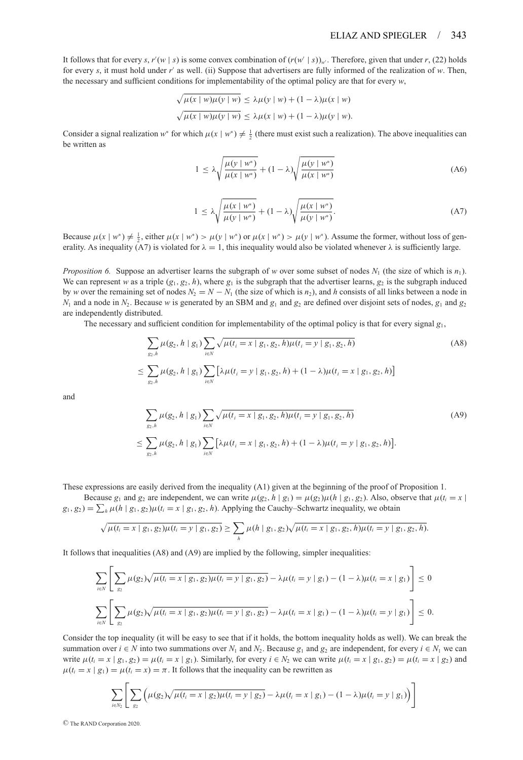It follows that for every *s*,  $r'(w \mid s)$  is some convex combination of  $(r(w' \mid s))_{w'}$ . Therefore, given that under *r*, (22) holds for every *s*, it must hold under *r'* as well. (ii) Suppose that advertisers are fully informed of the realization of *w*. Then, the necessary and sufficient conditions for implementability of the optimal policy are that for every *w*,

$$
\sqrt{\mu(x+w)\mu(y+w)} \le \lambda \mu(y+w) + (1-\lambda)\mu(x+w)
$$
  

$$
\sqrt{\mu(x+w)\mu(y+w)} \le \lambda \mu(x+w) + (1-\lambda)\mu(y+w).
$$

Consider a signal realization *w*<sup>∗</sup> for which  $\mu(x \mid w^*) \neq \frac{1}{2}$  (there must exist such a realization). The above inequalities can be written as

$$
1 \leq \lambda \sqrt{\frac{\mu(y \mid w^*)}{\mu(x \mid w^*)}} + (1 - \lambda) \sqrt{\frac{\mu(y \mid w^*)}{\mu(x \mid w^*)}}
$$
(A6)

$$
1 \leq \lambda \sqrt{\frac{\mu(x \mid w^*)}{\mu(y \mid w^*)}} + (1 - \lambda) \sqrt{\frac{\mu(x \mid w^*)}{\mu(y \mid w^*)}}.
$$
 (A7)

Because  $\mu(x \mid w^*) \neq \frac{1}{2}$ , either  $\mu(x \mid w^*) > \mu(y \mid w^*)$  or  $\mu(x \mid w^*) > \mu(y \mid w^*)$ . Assume the former, without loss of generality. As inequality (A7) is violated for  $\lambda = 1$ , this inequality would also be violated whenever  $\lambda$  is sufficiently large.

*Proposition 6.* Suppose an advertiser learns the subgraph of *w* over some subset of nodes  $N_1$  (the size of which is  $n_1$ ). We can represent *w* as a triple  $(g_1, g_2, h)$ , where  $g_1$  is the subgraph that the advertiser learns,  $g_2$  is the subgraph induced by *w* over the remaining set of nodes  $N_2 = N - N_1$  (the size of which is  $n_2$ ), and *h* consists of all links between a node in  $N_1$  and a node in  $N_2$ . Because *w* is generated by an SBM and  $g_1$  and  $g_2$  are defined over disjoint sets of nodes,  $g_1$  and  $g_2$ are independently distributed.

The necessary and sufficient condition for implementability of the optimal policy is that for every signal  $g_1$ ,

$$
\sum_{g_2, h} \mu(g_2, h \mid g_1) \sum_{i \in N} \sqrt{\mu(t_i = x \mid g_1, g_2, h) \mu(t_i = y \mid g_1, g_2, h)}
$$
\n
$$
\leq \sum_{g_2, h} \mu(g_2, h \mid g_1) \sum_{i \in N} \left[ \lambda \mu(t_i = y \mid g_1, g_2, h) + (1 - \lambda) \mu(t_i = x \mid g_1, g_2, h) \right]
$$
\n(A8)

and

$$
\sum_{g_2, h} \mu(g_2, h \mid g_1) \sum_{i \in N} \sqrt{\mu(t_i = x \mid g_1, g_2, h)\mu(t_i = y \mid g_1, g_2, h)}
$$
\n
$$
\leq \sum_{g_2, h} \mu(g_2, h \mid g_1) \sum_{i \in N} [\lambda \mu(t_i = x \mid g_1, g_2, h) + (1 - \lambda)\mu(t_i = y \mid g_1, g_2, h)].
$$
\n(A9)

These expressions are easily derived from the inequality (A1) given at the beginning of the proof of Proposition 1.

Because  $g_1$  and  $g_2$  are independent, we can write  $\mu(g_2, h | g_1) = \mu(g_2)\mu(h | g_1, g_2)$ . Also, observe that  $\mu(t_i = x | f_i)$  $g_1, g_2$  =  $\sum_h \mu(h \mid g_1, g_2) \mu(t_i = x \mid g_1, g_2, h)$ . Applying the Cauchy–Schwartz inequality, we obtain

$$
\sqrt{\mu(t_i=x \mid g_1,g_2)\mu(t_i=y \mid g_1,g_2)} \geq \sum_h \mu(h \mid g_1,g_2)\sqrt{\mu(t_i=x \mid g_1,g_2,h)\mu(t_i=y \mid g_1,g_2,h)}.
$$

It follows that inequalities (A8) and (A9) are implied by the following, simpler inequalities:

$$
\sum_{i\in N}\left[\sum_{g_2}\mu(g_2)\sqrt{\mu(t_i=x\mid g_1,g_2)\mu(t_i=y\mid g_1,g_2)} - \lambda\mu(t_i=y\mid g_1) - (1-\lambda)\mu(t_i=x\mid g_1)\right] \leq 0
$$
  

$$
\sum_{i\in N}\left[\sum_{g_2}\mu(g_2)\sqrt{\mu(t_i=x\mid g_1,g_2)\mu(t_i=y\mid g_1,g_2)} - \lambda\mu(t_i=x\mid g_1) - (1-\lambda)\mu(t_i=y\mid g_1)\right] \leq 0.
$$

Consider the top inequality (it will be easy to see that if it holds, the bottom inequality holds as well). We can break the summation over  $i \in N$  into two summations over  $N_1$  and  $N_2$ . Because  $g_1$  and  $g_2$  are independent, for every  $i \in N_1$  we can write  $\mu(t_i = x \mid g_1, g_2) = \mu(t_i = x \mid g_1)$ . Similarly, for every  $i \in N_2$  we can write  $\mu(t_i = x \mid g_1, g_2) = \mu(t_i = x \mid g_2)$  and  $\mu(t_i = x \mid g_1) = \mu(t_i = x) = \pi$ . It follows that the inequality can be rewritten as

$$
\sum_{i \in N_2} \left[ \sum_{g_2} \left( \mu(g_2) \sqrt{\mu(t_i = x \mid g_2) \mu(t_i = y \mid g_2)} - \lambda \mu(t_i = x \mid g_1) - (1 - \lambda) \mu(t_i = y \mid g_1) \right) \right]
$$

<sup>C</sup> The RAND Corporation 2020.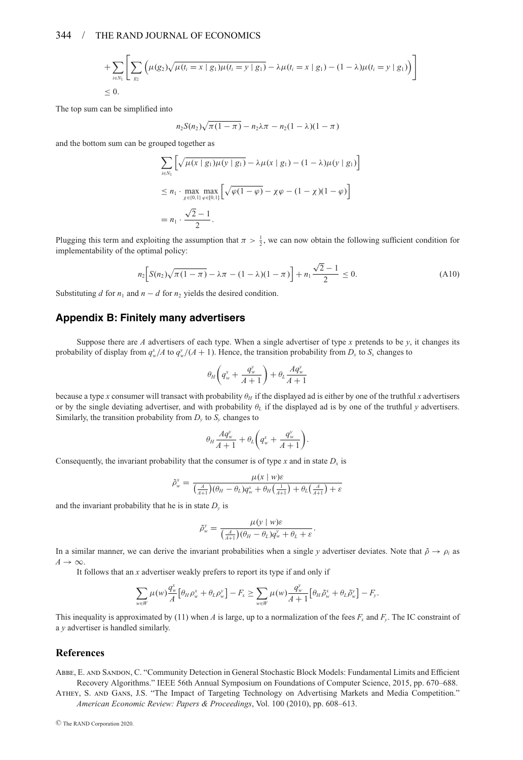#### 344 / THE RAND JOURNAL OF ECONOMICS

+ 
$$
\sum_{i \in N_1} \left[ \sum_{g_2} \left( \mu(g_2) \sqrt{\mu(t_i = x \mid g_1) \mu(t_i = y \mid g_1)} - \lambda \mu(t_i = x \mid g_1) - (1 - \lambda) \mu(t_i = y \mid g_1) \right) \right]
$$
  
\n $\leq 0.$ 

The top sum can be simplified into

$$
n_2 S(n_2) \sqrt{\pi (1 - \pi)} - n_2 \lambda \pi - n_2 (1 - \lambda)(1 - \pi)
$$

and the bottom sum can be grouped together as

$$
\sum_{i \in N_1} \left[ \sqrt{\mu(x \mid g_1)\mu(y \mid g_1)} - \lambda \mu(x \mid g_1) - (1 - \lambda)\mu(y \mid g_1) \right]
$$
  
\n
$$
\le n_1 \cdot \max_{\chi \in [0,1]} \max_{\varphi \in [0,1]} \left[ \sqrt{\varphi(1-\varphi)} - \chi \varphi - (1 - \chi)(1-\varphi) \right]
$$
  
\n
$$
= n_1 \cdot \frac{\sqrt{2}-1}{2}.
$$

Plugging this term and exploiting the assumption that  $\pi > \frac{1}{2}$ , we can now obtain the following sufficient condition for implementability of the optimal policy:

$$
n_2 \Big[ S(n_2) \sqrt{\pi (1 - \pi)} - \lambda \pi - (1 - \lambda)(1 - \pi) \Big] + n_1 \frac{\sqrt{2} - 1}{2} \le 0.
$$
 (A10)

Substituting *d* for  $n_1$  and  $n - d$  for  $n_2$  yields the desired condition.

#### **Appendix B: Finitely many advertisers**

Suppose there are A advertisers of each type. When a single advertiser of type x pretends to be  $v$ , it changes its probability of display from  $q_w^x/A$  to  $q_w^y/(A+1)$ . Hence, the transition probability from  $D_x$  to  $S_x$  changes to

$$
\theta_{\rm H}\bigg(q_{\rm w}^{\rm x}+\frac{q_{\rm w}^{\rm y}}{A+1}\bigg)+\theta_{\rm L}\frac{A q_{\rm w}^{\rm y}}{A+1}
$$

because a type *x* consumer will transact with probability θ*<sup>H</sup>* if the displayed ad is either by one of the truthful *x* advertisers or by the single deviating advertiser, and with probability θ*<sup>L</sup>* if the displayed ad is by one of the truthful *y* advertisers. Similarly, the transition probability from  $D_\nu$  to  $S_\nu$  changes to

$$
\theta_H \frac{A q_w^y}{A+1} + \theta_L \bigg( q_w^x + \frac{q_w^y}{A+1} \bigg).
$$

Consequently, the invariant probability that the consumer is of type *x* and in state  $D<sub>x</sub>$  is

$$
\tilde{\rho}_{w}^{x} = \frac{\mu(x \mid w)\varepsilon}{\left(\frac{A}{A+1}\right)(\theta_{H} - \theta_{L})q_{w}^{x} + \theta_{H}\left(\frac{1}{A+1}\right) + \theta_{L}\left(\frac{A}{A+1}\right) + \varepsilon}
$$

and the invariant probability that he is in state  $D<sub>v</sub>$  is

$$
\tilde{\rho}_{w}^{y} = \frac{\mu(y \mid w)\varepsilon}{\left(\frac{A}{A+1}\right)(\theta_{H} - \theta_{L})q_{w}^{y} + \theta_{L} + \varepsilon}.
$$

In a similar manner, we can derive the invariant probabilities when a single *y* advertiser deviates. Note that  $\tilde{\rho} \to \rho_i$  as  $A \rightarrow \infty$ .

It follows that an *x* advertiser weakly prefers to report its type if and only if

$$
\sum_{w \in W} \mu(w) \frac{q_w^x}{A} \big[ \theta_H \rho_w^x + \theta_L \rho_w^y \big] - F_x \ge \sum_{w \in W} \mu(w) \frac{q_w^y}{A+1} \big[ \theta_H \tilde{\rho}_w^x + \theta_L \tilde{\rho}_w^y \big] - F_y.
$$

This inequality is approximated by (11) when *A* is large, up to a normalization of the fees  $F_x$  and  $F_y$ . The IC constraint of a *y* advertiser is handled similarly.

#### **References**

Abbe, E. and Sandon, C. "Community Detection in General Stochastic Block Models: Fundamental Limits and Efficient Recovery Algorithms." IEEE 56th Annual Symposium on Foundations of Computer Science, 2015, pp. 670–688.

Athey, S. and Gans, J.S. "The Impact of Targeting Technology on Advertising Markets and Media Competition." *American Economic Review: Papers & Proceedings*, Vol. 100 (2010), pp. 608–613.